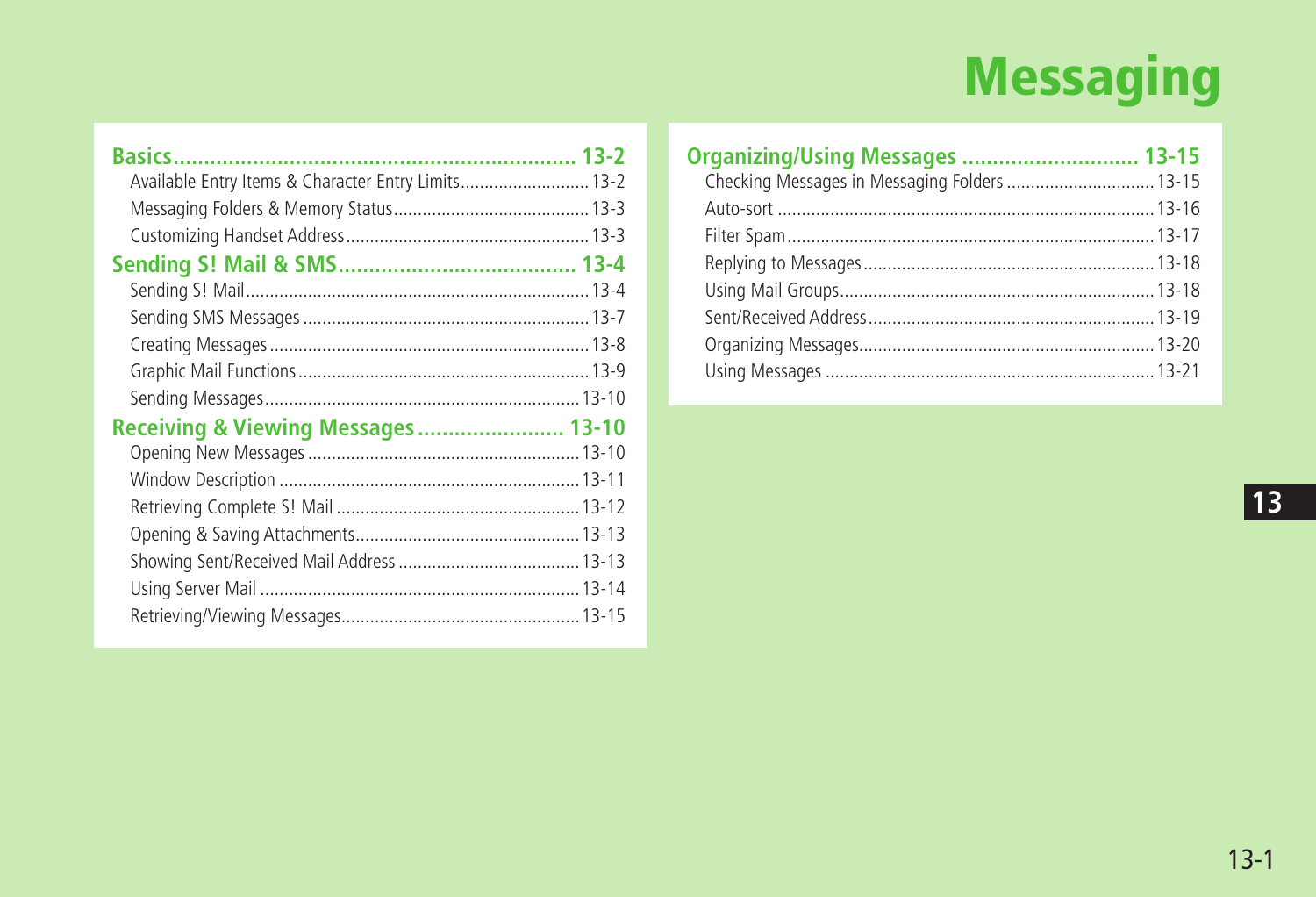# **Messaging**

| Available Entry Items & Character Entry Limits 13-2 |  |
|-----------------------------------------------------|--|
|                                                     |  |
|                                                     |  |
|                                                     |  |
|                                                     |  |
|                                                     |  |
|                                                     |  |
|                                                     |  |
|                                                     |  |
| <b>Receiving &amp; Viewing Messages 13-10</b>       |  |
|                                                     |  |
|                                                     |  |
|                                                     |  |
|                                                     |  |
|                                                     |  |
|                                                     |  |
|                                                     |  |

| Organizing/Using Messages  13-15              |  |
|-----------------------------------------------|--|
| Checking Messages in Messaging Folders  13-15 |  |
|                                               |  |
|                                               |  |
|                                               |  |
|                                               |  |
|                                               |  |
|                                               |  |
|                                               |  |
|                                               |  |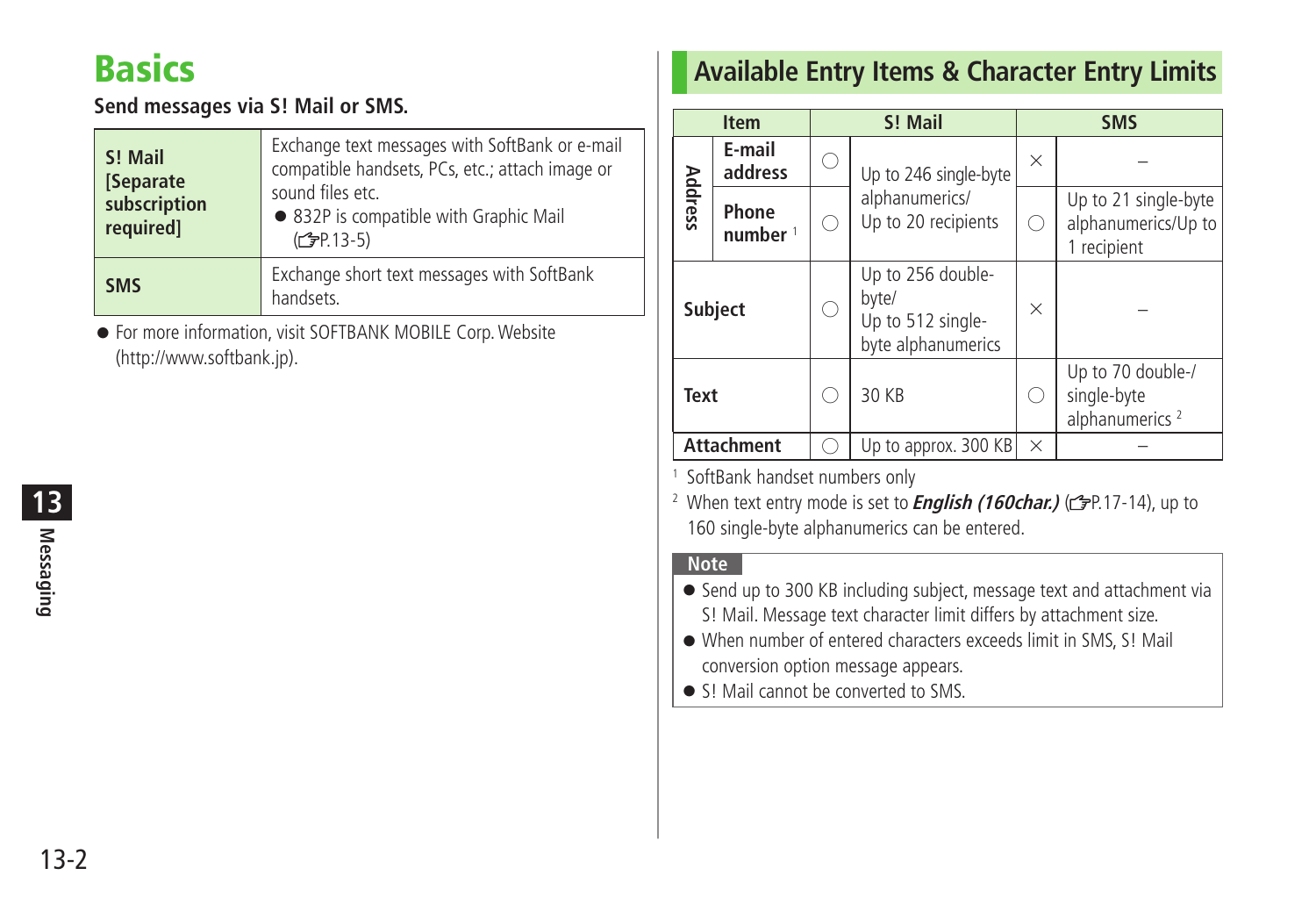# <span id="page-1-0"></span>**Basics**

### **Send messages via S! Mail or SMS.**

| S! Mail<br>[Separate]<br>subscription<br>required] | Exchange text messages with SoftBank or e-mail<br>compatible handsets, PCs, etc.; attach image or<br>sound files etc.<br>• 832P is compatible with Graphic Mail<br>(C <sub>J</sub> P.13-5) |
|----------------------------------------------------|--------------------------------------------------------------------------------------------------------------------------------------------------------------------------------------------|
| <b>SMS</b>                                         | Exchange short text messages with SoftBank<br>handsets.                                                                                                                                    |

● For more information, visit SOFTBANK MOBILE Corp. Website (http://www.softbank.jp).

# **Messaging 13**

# **Available Entry Items & Character Entry Limits**

| <b>Item</b>    |                     |  | S! Mail                                                               | <b>SMS</b> |                                                                |  |
|----------------|---------------------|--|-----------------------------------------------------------------------|------------|----------------------------------------------------------------|--|
|                | E-mail<br>address   |  | Up to 246 single-byte                                                 | X          |                                                                |  |
| <b>Address</b> | Phone<br>number $1$ |  | alphanumerics/<br>Up to 20 recipients                                 |            | Up to 21 single-byte<br>alphanumerics/Up to<br>1 recipient     |  |
|                | <b>Subject</b>      |  | Up to 256 double-<br>byte/<br>Up to 512 single-<br>byte alphanumerics | $\times$   |                                                                |  |
| <b>Text</b>    |                     |  | 30 KB                                                                 |            | Up to 70 double-/<br>single-byte<br>alphanumerics <sup>2</sup> |  |
|                | <b>Attachment</b>   |  | Up to approx. 300 KB                                                  | $\times$   |                                                                |  |

1 SoftBank handset numbers only

<sup>2</sup> When text entry mode is set to *English (160char.)* (GP.17-14), up to 160 single-byte alphanumerics can be entered.

### **Note**

- Send up to 300 KB including subject, message text and attachment via S! Mail. Message text character limit differs by attachment size.
- When number of entered characters exceeds limit in SMS, S! Mail conversion option message appears.
- S! Mail cannot be converted to SMS.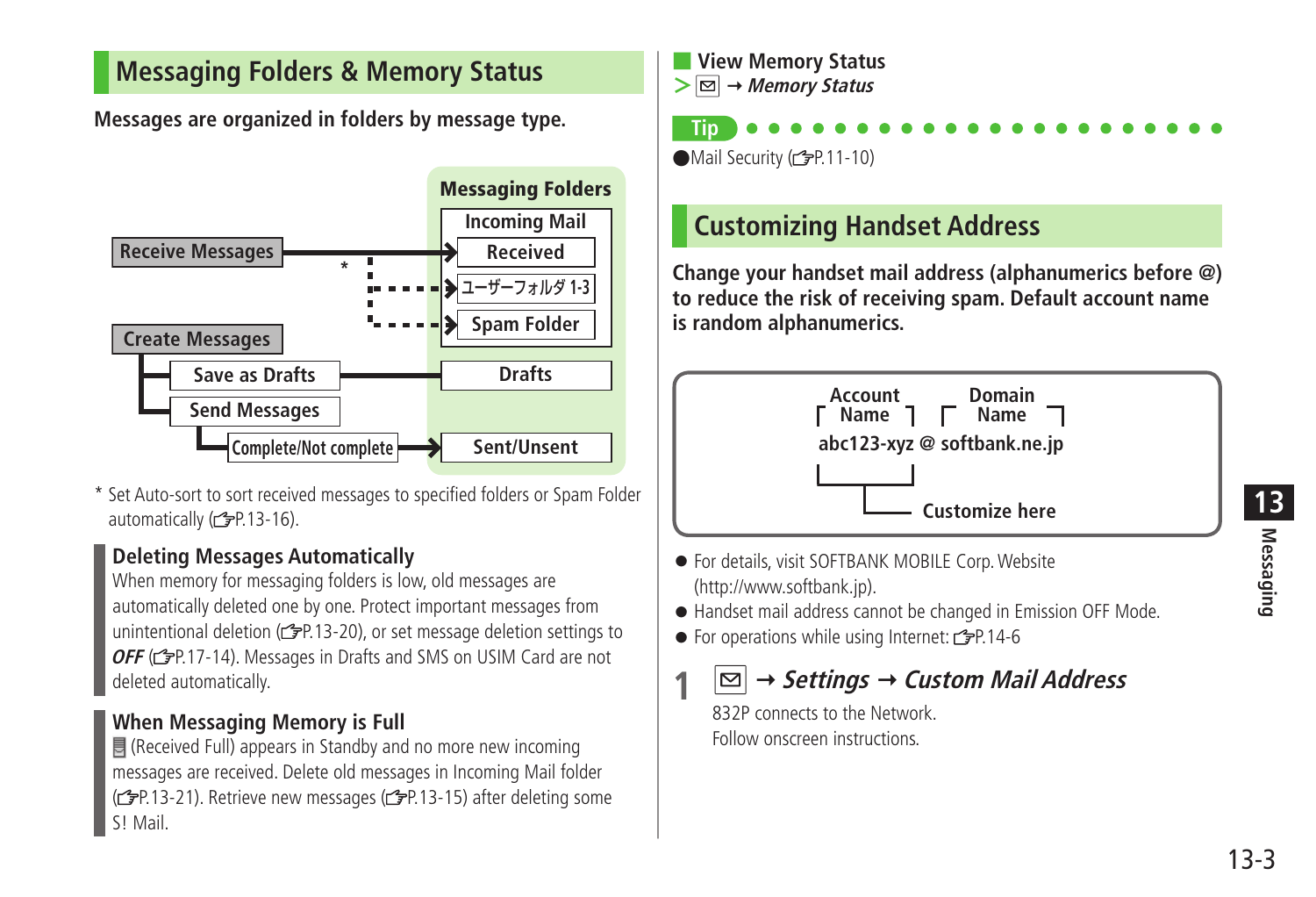# <span id="page-2-0"></span>**Messaging Folders & Memory Status**

**Messages are organized in folders by message type.**



\* Set Auto-sort to sort received messages to specified folders or Spam Folder automatically (<del>曾</del>P.13-16).

### **Deleting Messages Automatically**

When memory for messaging folders is low, old messages are automatically deleted one by one. Protect important messages from unintentional deletion ( $r$ P.13-20), or set message deletion settings to **OFF** ( $\mathcal{Q}$ P.17-14). Messages in Drafts and SMS on USIM Card are not deleted automatically.

### **When Messaging Memory is Full**

 (Received Full) appears in Standby and no more new incoming messages are received. Delete old messages in Incoming Mail folder ( $\mathcal{F}$ P.13-21). Retrieve new messages ( $\mathcal{F}$ P.13-15) after deleting some S! Mail.

■ **View Memory Status > Memory Status**

**Tip**  $\bullet$  Mail Security ( $\circ$ P.11-10)

# **Customizing Handset Address**

**Change your handset mail address (alphanumerics before @) to reduce the risk of receiving spam. Default account name is random alphanumerics.**



- For details, visit SOFTBANK MOBILE Corp. Website (http://www.softbank.jp).
- Handset mail address cannot be changed in Emission OFF Mode.
- $\bullet$  For operations while using Internet:  $\leq P.14-6$

# **1 Settings Custom Mail Address**

832P connects to the Network Follow onscreen instructions.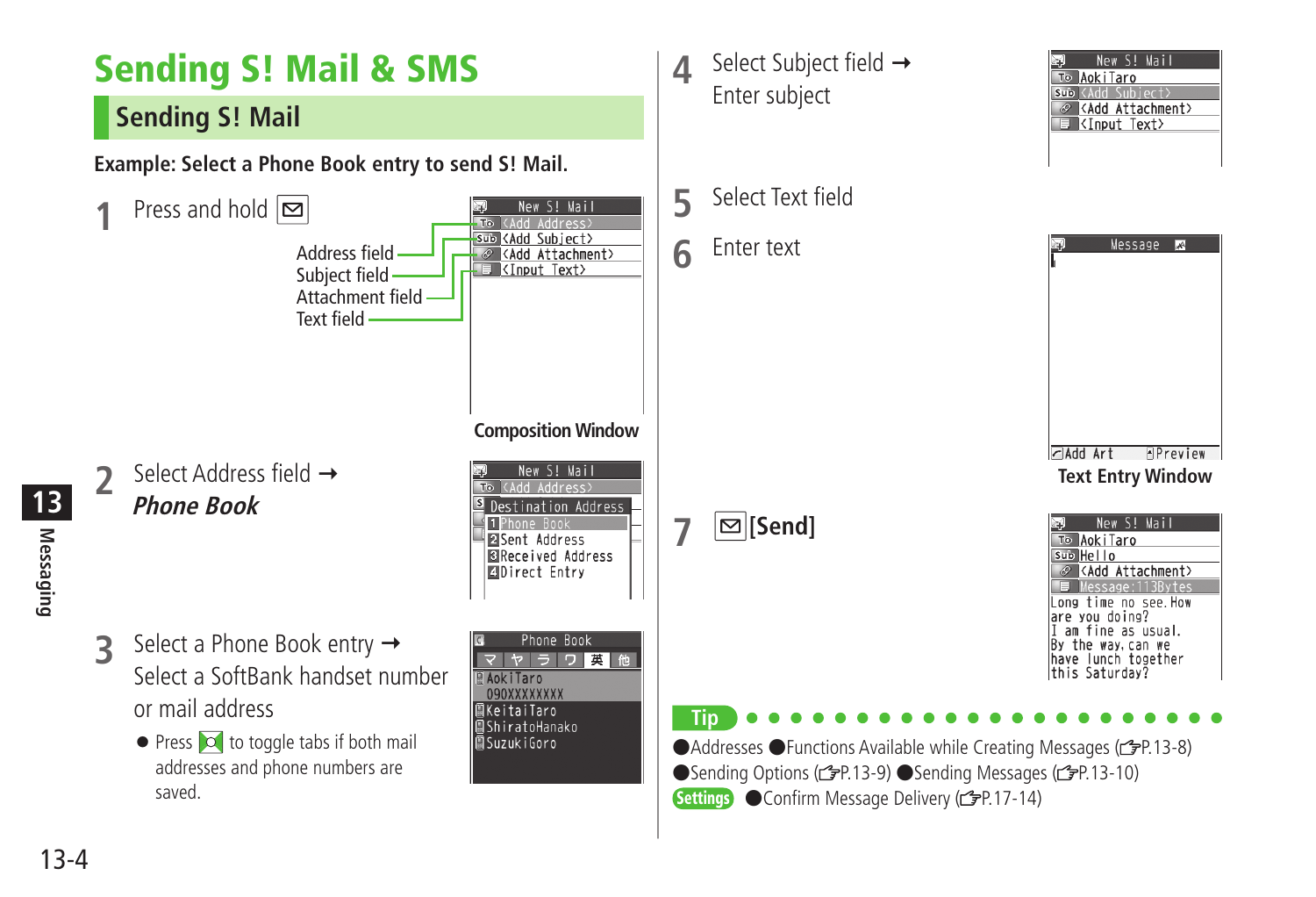<span id="page-3-0"></span>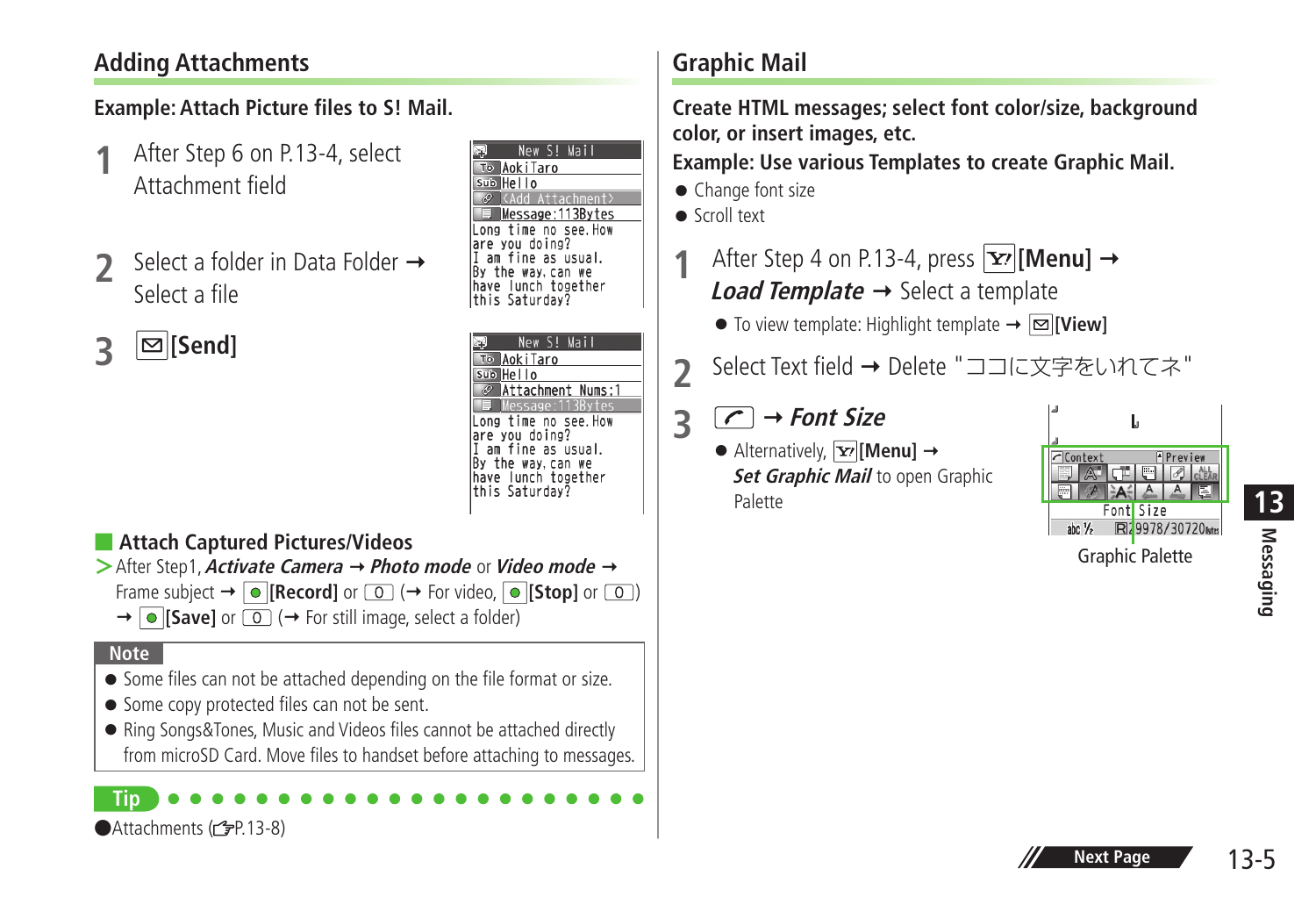# **Adding Attachments**

### **Example: Attach Picture files to S! Mail.**

- **1** After Step 6 on P.13-4, select Attachment field
- **2** Select a folder in Data Folder Select a file

|                                                                                                                                                                                                                                                                                                                                     | After Step 6 on P.13-4, select<br>Attachment field            | New S! Mai<br>To AokiTaro<br>Sub Hello<br><add attachment=""><br/>Message: 113Bytes<br/>Long time no see.How</add>                                                                                             |  |  |  |
|-------------------------------------------------------------------------------------------------------------------------------------------------------------------------------------------------------------------------------------------------------------------------------------------------------------------------------------|---------------------------------------------------------------|----------------------------------------------------------------------------------------------------------------------------------------------------------------------------------------------------------------|--|--|--|
|                                                                                                                                                                                                                                                                                                                                     | Select a folder in Data Folder $\rightarrow$<br>Select a file | are you doing?<br>am fine as usual.<br>By the way, can we<br>have lunch together<br>this Saturday?                                                                                                             |  |  |  |
|                                                                                                                                                                                                                                                                                                                                     | $\mathfrak{S}$ [Send]                                         | New S! Mail<br>To AokiTaro<br>Sub Hello<br>Attachment Nums:1<br>Message: 113B<br>Long time no see. How<br>are you doing?<br>I am fine as usual.<br>By the way, can we<br>have lunch together<br>this Saturday? |  |  |  |
| Attach Captured Pictures/Videos<br>$\triangleright$ After Step1, Activate Camera $\rightarrow$ Photo mode or Video mode $\rightarrow$<br>Frame subject $\rightarrow  \bullet $ [Record] or $\circledcirc$ ( $\rightarrow$ For video, $ \bullet $ [Stop] or $\circledcirc$ )<br>→ O [Save] or 0 (→ For still image, select a folder) |                                                               |                                                                                                                                                                                                                |  |  |  |
| <b>Note</b><br>• Some files can not be attached depending on the file format or size.<br>• Some copy protected files can not be sent.<br>• Ring Songs&Tones, Music and Videos files cannot be attached directly<br>from microSD Card. Move files to handset before attaching to messages.                                           |                                                               |                                                                                                                                                                                                                |  |  |  |
|                                                                                                                                                                                                                                                                                                                                     | Tin<br>●Attachments (rep.13-8)                                |                                                                                                                                                                                                                |  |  |  |

# **Graphic Mail**

**Create HTML messages; select font color/size, background color, or insert images, etc.**

**Example: Use various Templates to create Graphic Mail.**

- Change font size
- Scroll text
- After Step 4 on P.13-4, press  $\boxed{\mathbf{Y}'}$  [Menu]  $\rightarrow$ *Load Template*  $\rightarrow$  Select a template
	- $\bullet$  To view template: Highlight template  $\rightarrow \Box$  [View]
- Select Text field → Delete "ココに文字をいれてネ"

# $\overline{3}$   $\overline{C}$   $\rightarrow$  *Font Size*

 $\bullet$  Alternatively,  $\boxed{\mathbf{Y}}$  [Menu]  $\rightarrow$ **Set Graphic Mail** to open Graphic Palette

| Context           |                        | ÷. | Preview |                 |  |
|-------------------|------------------------|----|---------|-----------------|--|
| abc $\frac{1}{2}$ | <b>Fontl</b> Size      |    |         | R29978/30720tes |  |
|                   | <b>Graphic Palette</b> |    |         |                 |  |

**Messaging 13**

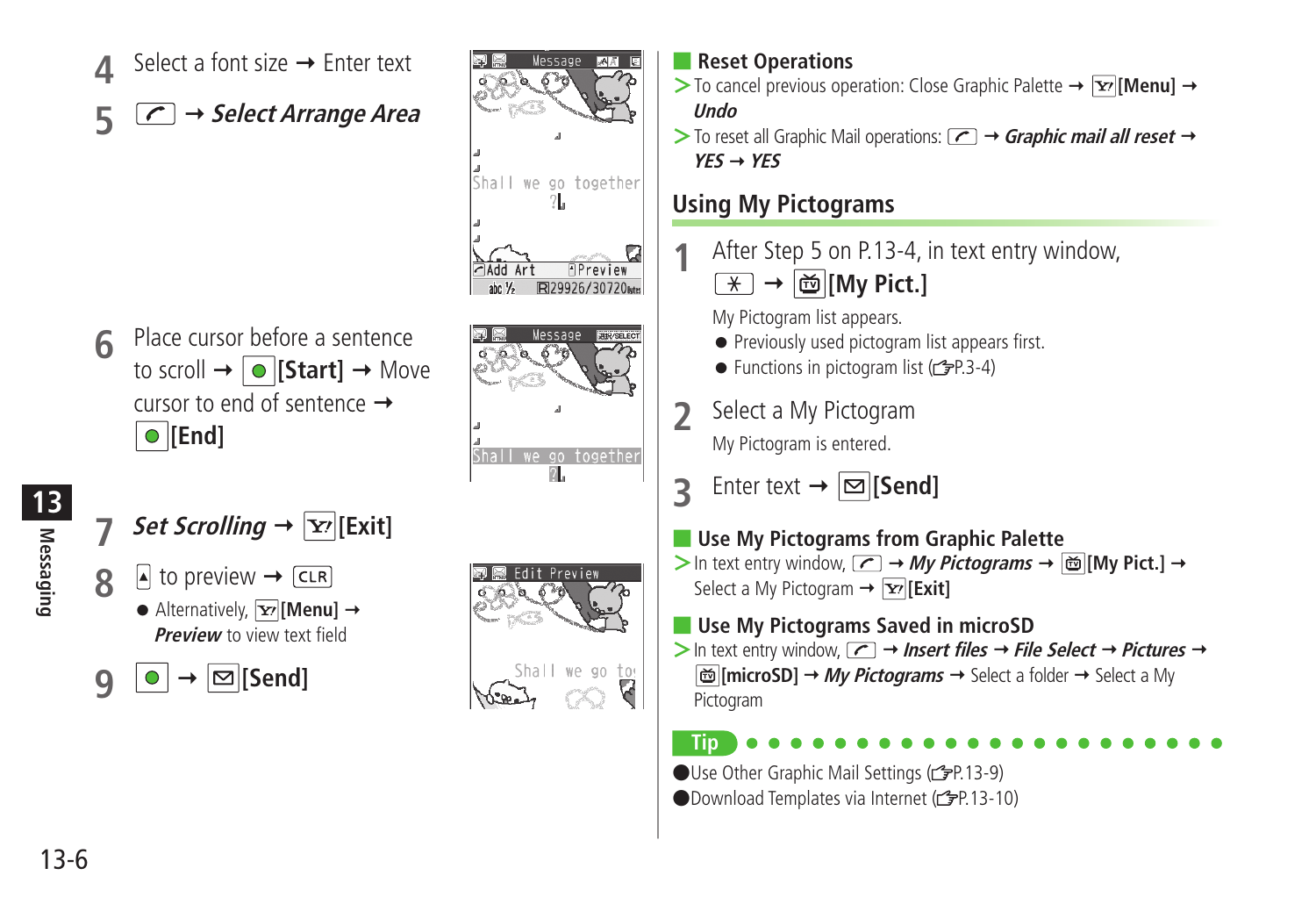Select a font size  $\rightarrow$  Enter text **5 Select Arrange Area**



**Messaging 13**

- *Set Scrolling*  $\rightarrow$   $\vert \mathbf{x} \rangle$  [Exit]  $\mathbf{R}$  **b** to preview  $\rightarrow$  CLR  $\bullet$  Alternatively,  $\boxed{\mathbf{Y}'}$  [Menu]  $\rightarrow$ **Preview** to view text field
- $\bigcirc$   $\bigcirc$   $\rightarrow$   $\bigcirc$  [Send]



Shall we go together  $\overline{2}$ .

്ക്

 $\neg$  Add Art

abc $\frac{1}{2}$ 

\_<br>Shall we go together

**APreview** 

R29926/30720k



- $>$  To cancel previous operation: Close Graphic Palette  $\rightarrow \infty$  [Menu]  $\rightarrow$ **Undo**
- $>$  To reset all Graphic Mail operations:  $\boxed{\frown}$   $\rightarrow$  **Graphic mail all reset**  $\rightarrow$ **YES YES**

# **Using My Pictograms**

- **1** After Step 5 on P.13-4, in text entry window,
	- $\boxed{\ast}$   $\rightarrow$   $\boxed{\oplus}$  [My Pict.]

My Pictogram list appears.

- Previously used pictogram list appears first.
- Functions in pictogram list  $(r^2P.3-4)$
- **2** Select a My Pictogram My Pictogram is entered.
- **3** Enter text  $\rightarrow \boxed{\infty}$  [Send]
- **Use My Pictograms from Graphic Palette**
- $>$  In text entry window,  $\boxed{\frown}$   $\rightarrow$  My Pictograms  $\rightarrow$   $\boxed{\dot{\omega}}$  [My Pict.]  $\rightarrow$ Select a My Pictogram → **Exitl**
- **Use My Pictograms Saved in microSD**
- $>$  In text entry window,  $\boxed{\frown}$   $\rightarrow$  **Insert files**  $\rightarrow$  **File Select**  $\rightarrow$  **Pictures**  $\rightarrow$ **<sup>[</sup>microSD] → My Pictograms →** Select a folder → Select a My Pictogram
	- **Tip**

●Use Other Graphic Mail Settings (rep.13-9)

●Download Templates via Internet (c3P.13-10)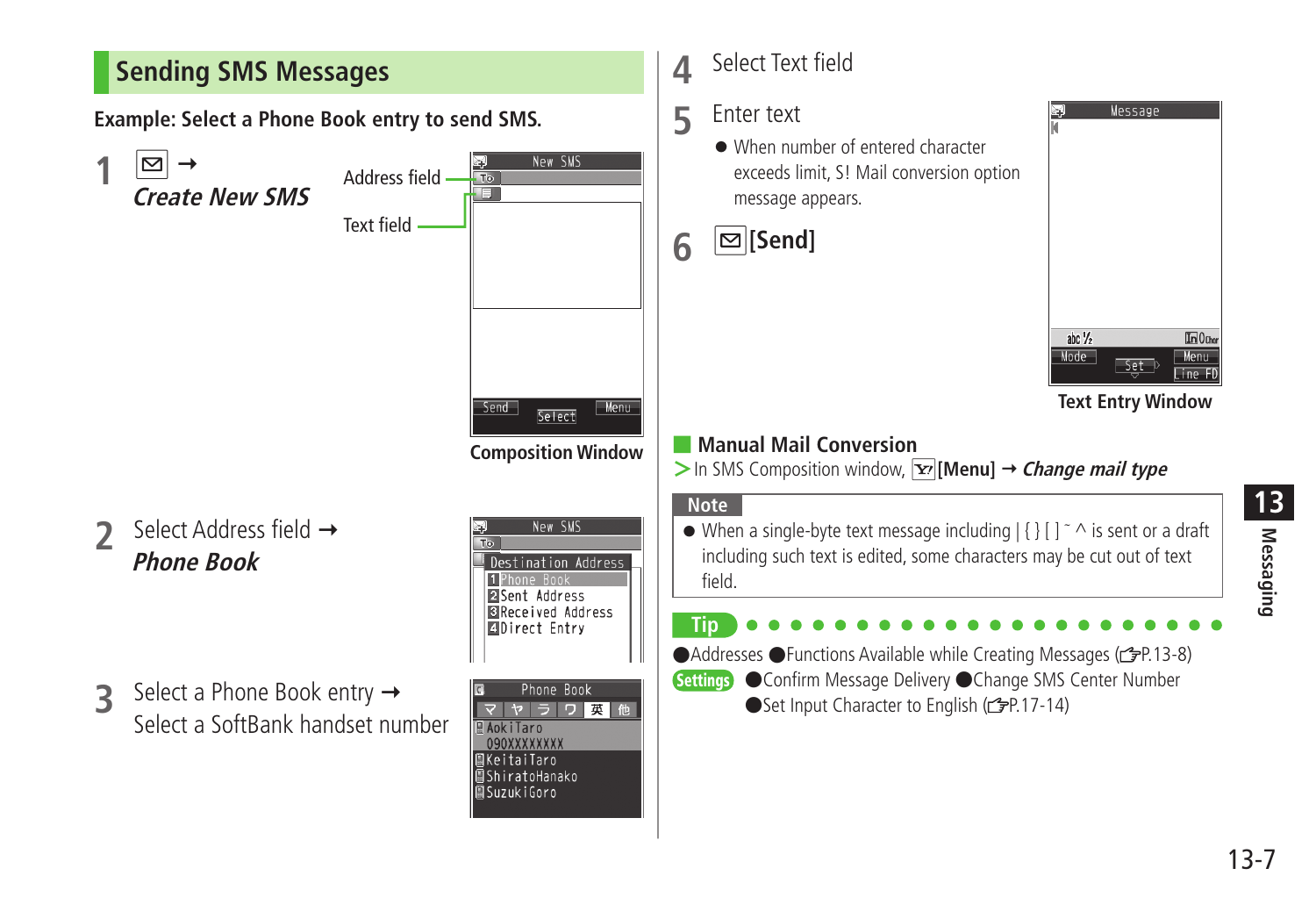<span id="page-6-0"></span>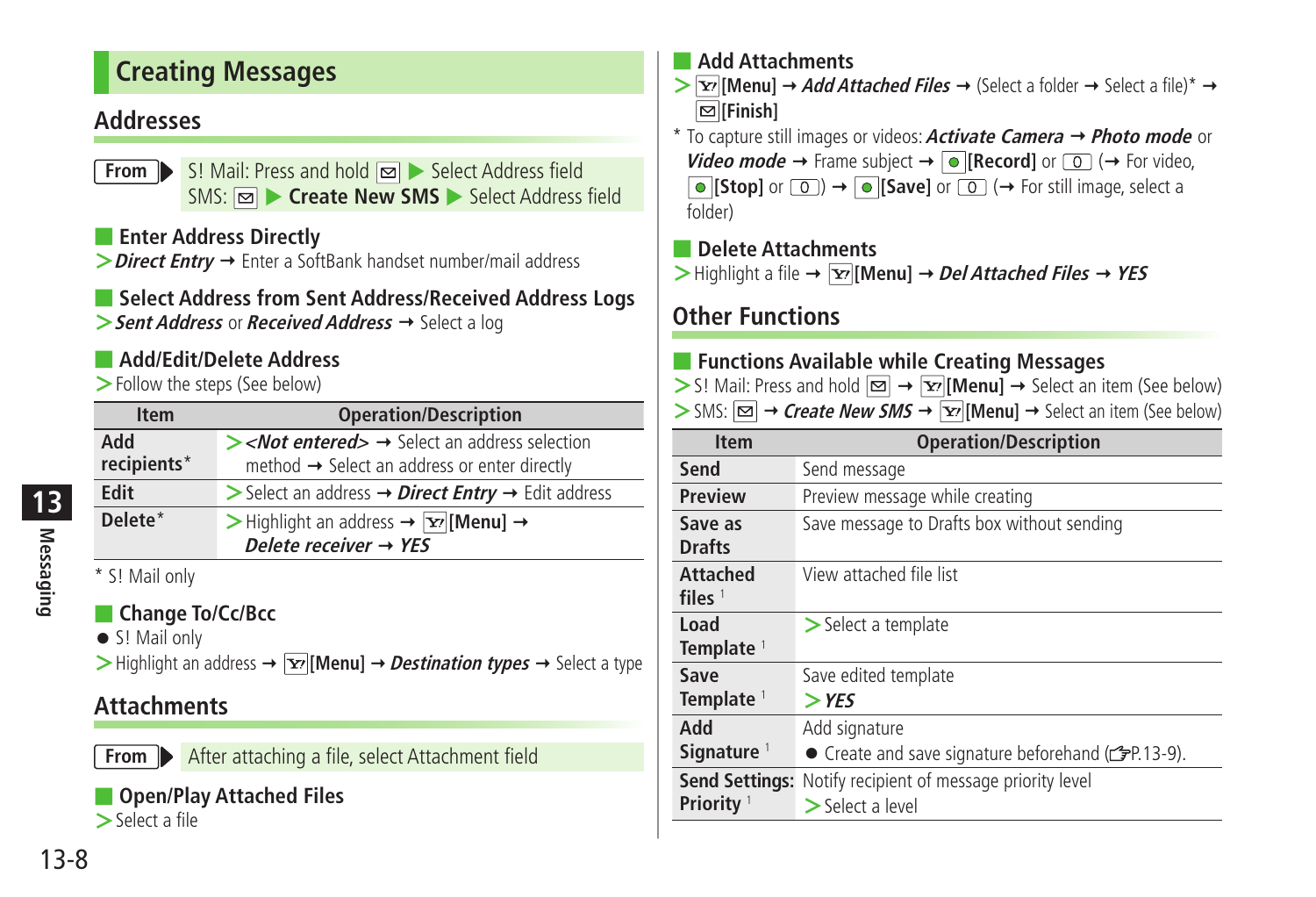# <span id="page-7-0"></span>**Creating Messages**

### **Addresses**

**From** S! Mail: Press and hold  $\boxed{\infty}$  Select Address field SMS:  $\boxed{\infty}$  Create New SMS Select Address field

■ **Enter Address Directly**

> **Direct Entry** → Enter a SoftBank handset number/mail address

# ■ **Select Address from Sent Address/Received Address Logs**

**>** Sent Address or **Received Address** → Select a log

# ■ **Add/Edit/Delete Address**

**>**Follow the steps (See below)

| <b>Item</b>                                | <b>Operation/Description</b>                                                                                                                    |
|--------------------------------------------|-------------------------------------------------------------------------------------------------------------------------------------------------|
| Add<br>recipients*                         | $\triangleright$ < <i>Not entered&gt;</i> $\rightarrow$ Select an address selection<br>method $\rightarrow$ Select an address or enter directly |
| Edit                                       | Select an address $\rightarrow$ <i>Direct Entry</i> $\rightarrow$ Edit address                                                                  |
| Delete*                                    | > Highlight an address $\rightarrow$ $\boxed{\mathbf{x}}$ [Menu] $\rightarrow$<br>Delete receiver $\rightarrow$ YES                             |
| $*$ CLM- $i$ <sub>n</sub> $i$ <sub>n</sub> |                                                                                                                                                 |

5! Mail only

# ■ **Change To/Cc/Bcc**

● S! Mail only

 $\triangleright$  Highlight an address  $\rightarrow \overline{Y}$  [Menu]  $\rightarrow$  *Destination types*  $\rightarrow$  Select a type

# **Attachments**

**From** After attaching a file, select Attachment field

# ■ **Open/Play Attached Files**

**>**Select a file

### ■ **Add Attachments**

 $\sum \mathbf{X}$  **[Menu]**  $\rightarrow$  *Add Attached Files*  $\rightarrow$  (Select a folder  $\rightarrow$  Select a file)<sup>\*</sup>  $\rightarrow$ **[Finish]**

\* To capture still images or videos: **Activate Camera Photo mode** or **Video mode**  $\rightarrow$  Frame subject  $\rightarrow$  **[Record]** or  $\boxed{0}$  ( $\rightarrow$  For video,  $\bullet$  **[Stop]** or  $\circledcirc$   $\rightarrow$   $\bullet$  **[Save]** or  $\circledcirc$  ( $\rightarrow$  For still image, select a folder)

### ■ **Delete Attachments**

 $\triangleright$  Highlight a file  $\rightarrow \triangleright$  [Menu]  $\rightarrow$  *Del Attached Files*  $\rightarrow$  *YES* 

# **Other Functions**

### ■ **Functions Available while Creating Messages**

- $>$  S! Mail: Press and hold  $\boxed{\infty}$   $\rightarrow$   $\boxed{\infty}$  **[Menu]**  $\rightarrow$  Select an item (See below)
- $>$  SMS:  $\boxed{\infty}$   $\rightarrow$  Create New SMS  $\rightarrow \boxed{\infty}$  [Menu]  $\rightarrow$  Select an item (See below)

| <b>Item</b>            | <b>Operation/Description</b>                          |
|------------------------|-------------------------------------------------------|
| Send                   | Send message                                          |
| <b>Preview</b>         | Preview message while creating                        |
| Save as                | Save message to Drafts box without sending            |
| <b>Drafts</b>          |                                                       |
| <b>Attached</b>        | View attached file list                               |
| files $1$              |                                                       |
| Load                   | > Select a template                                   |
| Template <sup>1</sup>  |                                                       |
| Save                   | Save edited template                                  |
| Template <sup>1</sup>  | $>$ YFS                                               |
| hhA                    | Add signature                                         |
| Signature <sup>1</sup> | • Create and save signature beforehand (represented). |
| <b>Send Settings:</b>  | Notify recipient of message priority level            |
| Priority <sup>1</sup>  | $>$ Select a level                                    |

**Messaging**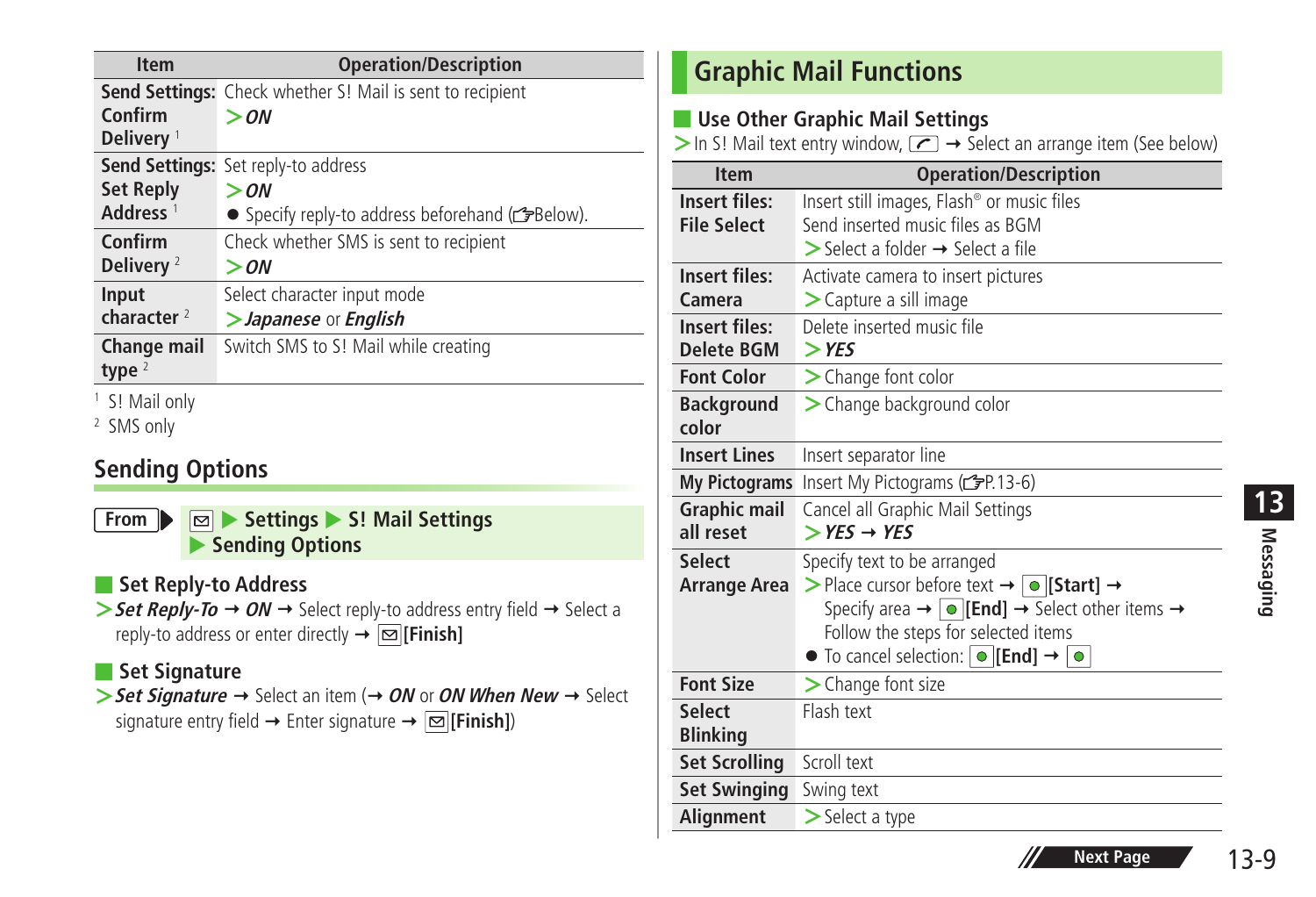<span id="page-8-0"></span>

| <b>Item</b>                      | <b>Operation/Description</b>                              |
|----------------------------------|-----------------------------------------------------------|
|                                  | Send Settings: Check whether S! Mail is sent to recipient |
| Confirm<br>Delivery <sup>1</sup> | $>$ ON                                                    |
|                                  | Send Settings: Set reply-to address                       |
| <b>Set Reply</b>                 | $>$ ON                                                    |
| Address <sup>1</sup>             | • Specify reply-to address beforehand (FBelow).           |
| Confirm                          | Check whether SMS is sent to recipient                    |
| Delivery $2$                     | $>$ $\alpha$ N                                            |
| Input                            | Select character input mode                               |
| character $2$                    | >Japanese or English                                      |
| Change mail                      | Switch SMS to S! Mail while creating                      |
| type $2$                         |                                                           |
| <sup>1</sup> S! Mail only        |                                                           |
| <sup>2</sup> SMS only            |                                                           |

# **Sending Options**

**From**  $\triangleright$  **Settings**  $\triangleright$  S! Mail Settings **Sending Options** 

### ■ **Set Reply-to Address**

 $\triangleright$  **Set Reply-To**  $\rightarrow$  ON  $\rightarrow$  Select reply-to address entry field  $\rightarrow$  Select a reply-to address or enter directly  $\rightarrow \boxed{\infty}$  [Finish]

### ■ **Set Signature**

 $>$  **Set Signature**  $\rightarrow$  Select an item ( $\rightarrow$  *ON* or *ON When New*  $\rightarrow$  Select signature entry field  $\rightarrow$  Enter signature  $\rightarrow \boxed{\infty}$  [Finish])

# **Graphic Mail Functions**

### ■ Use Other Graphic Mail Settings

 $>$  In S! Mail text entry window,  $\sqrt{ }$   $\rightarrow$  Select an arrange item (See below)

| <b>Item</b>                                | <b>Operation/Description</b>                                                                                                                                                                                                                                                                                        |
|--------------------------------------------|---------------------------------------------------------------------------------------------------------------------------------------------------------------------------------------------------------------------------------------------------------------------------------------------------------------------|
| <b>Insert files:</b><br><b>File Select</b> | Insert still images, Flash® or music files<br>Send inserted music files as BGM<br>$\triangleright$ Select a folder $\rightarrow$ Select a file                                                                                                                                                                      |
| <b>Insert files:</b><br>Camera             | Activate camera to insert pictures<br>> Capture a sill image                                                                                                                                                                                                                                                        |
| Insert files:<br><b>Delete BGM</b>         | Delete inserted music file<br>$>$ YES                                                                                                                                                                                                                                                                               |
| <b>Font Color</b>                          | > Change font color                                                                                                                                                                                                                                                                                                 |
| <b>Background</b><br>color                 | > Change background color                                                                                                                                                                                                                                                                                           |
| <b>Insert Lines</b>                        | Insert separator line                                                                                                                                                                                                                                                                                               |
| <b>My Pictograms</b>                       | Insert My Pictograms (c PP.13-6)                                                                                                                                                                                                                                                                                    |
| <b>Graphic mail</b><br>all reset           | Cancel all Graphic Mail Settings<br>$>$ YES $\rightarrow$ YES                                                                                                                                                                                                                                                       |
| <b>Select</b><br>Arrange Area              | Specify text to be arranged<br>> Place cursor before text $\rightarrow$ • [Start] $\rightarrow$<br>Specify area $\rightarrow \lceil \bullet \rceil$ [End] $\rightarrow$ Select other items $\rightarrow$<br>Follow the steps for selected items<br>$\bullet$ To cancel selection: $\circ$ [End] $\rightarrow \circ$ |
| <b>Font Size</b>                           | $\triangleright$ Change font size                                                                                                                                                                                                                                                                                   |
| <b>Select</b><br><b>Blinking</b>           | Flash text                                                                                                                                                                                                                                                                                                          |
| <b>Set Scrolling</b>                       | Scroll text                                                                                                                                                                                                                                                                                                         |
| <b>Set Swinging</b>                        | Swing text                                                                                                                                                                                                                                                                                                          |
| <b>Alianment</b>                           | $\geq$ Select a type                                                                                                                                                                                                                                                                                                |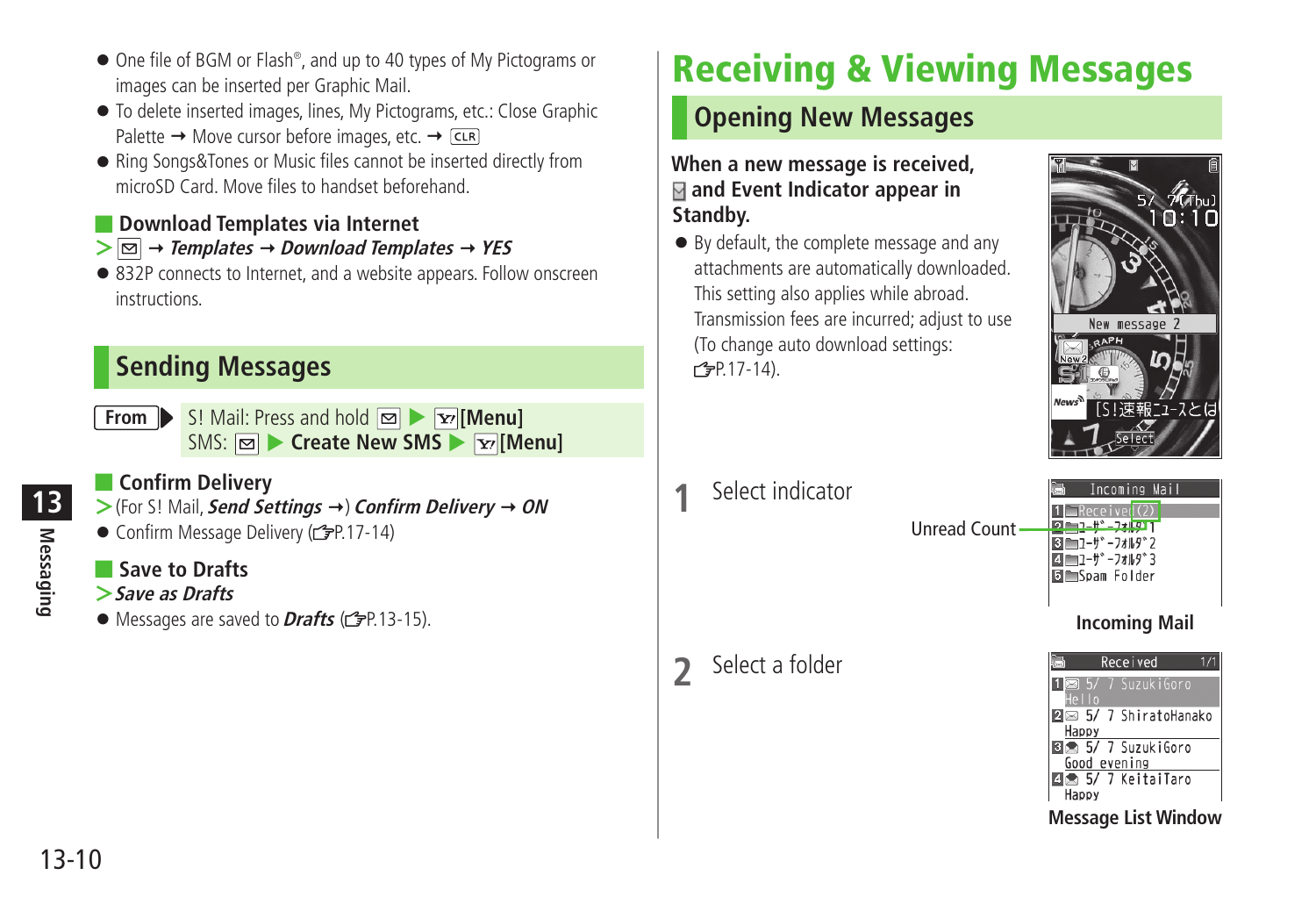- <span id="page-9-0"></span>● One file of BGM or Flash<sup>®</sup>, and up to 40 types of My Pictograms or images can be inserted per Graphic Mail.
- To delete inserted images, lines, My Pictograms, etc.: Close Graphic Palette  $\rightarrow$  Move cursor before images, etc.  $\rightarrow$  CLR
- Ring Songs&Tones or Music files cannot be inserted directly from microSD Card. Move files to handset beforehand.
- **Download Templates via Internet**
- $> \boxed{\odot}$   $\rightarrow$  Templates  $\rightarrow$  Download Templates  $\rightarrow$  YES
- 832P connects to Internet, and a website appears. Follow onscreen instructions.

# **Sending Messages**

**From** S! Mail: Press and hold  $\boxed{\infty}$  **Fig.** [Menu] SMS: **<b>** $\boxed{\infty}$  Create New SMS ▶  $\boxed{\infty}$  [Menu]

### ■ **Confirm Delivery**

**>**(For S! Mail, *Send Settings* **→) Confirm Delivery → ON** 

● Confirm Message Delivery (子P.17-14)

### ■ **Save to Drafts**

- **>Save as Drafts**
- Messages are saved to **Drafts** (r<sup>•</sup><sub>F</sub>P.13-15).

# **Receiving & Viewing Messages**

# **Opening New Messages**

### **When a new message is received, and Event Indicator appear in Standby.**

● By default, the complete message and any attachments are automatically downloaded. This setting also applies while abroad. Transmission fees are incurred; adjust to use (To change auto download settings:  $P.17-14$ ).



**1** Select indicator

**2** Select a folder

Unread Count



**Incoming Mail**

|              | Received           |
|--------------|--------------------|
| Hello        | 7 SuzukiGoro       |
| Happy        | 5/ 7 ShiratoHanako |
| Good evening | ■ 5/ 7 SuzukiGoro  |
|              | ■ 5/ 7 KeitaiTaro  |
| Happy        |                    |

**Message List Window**

**Messaging**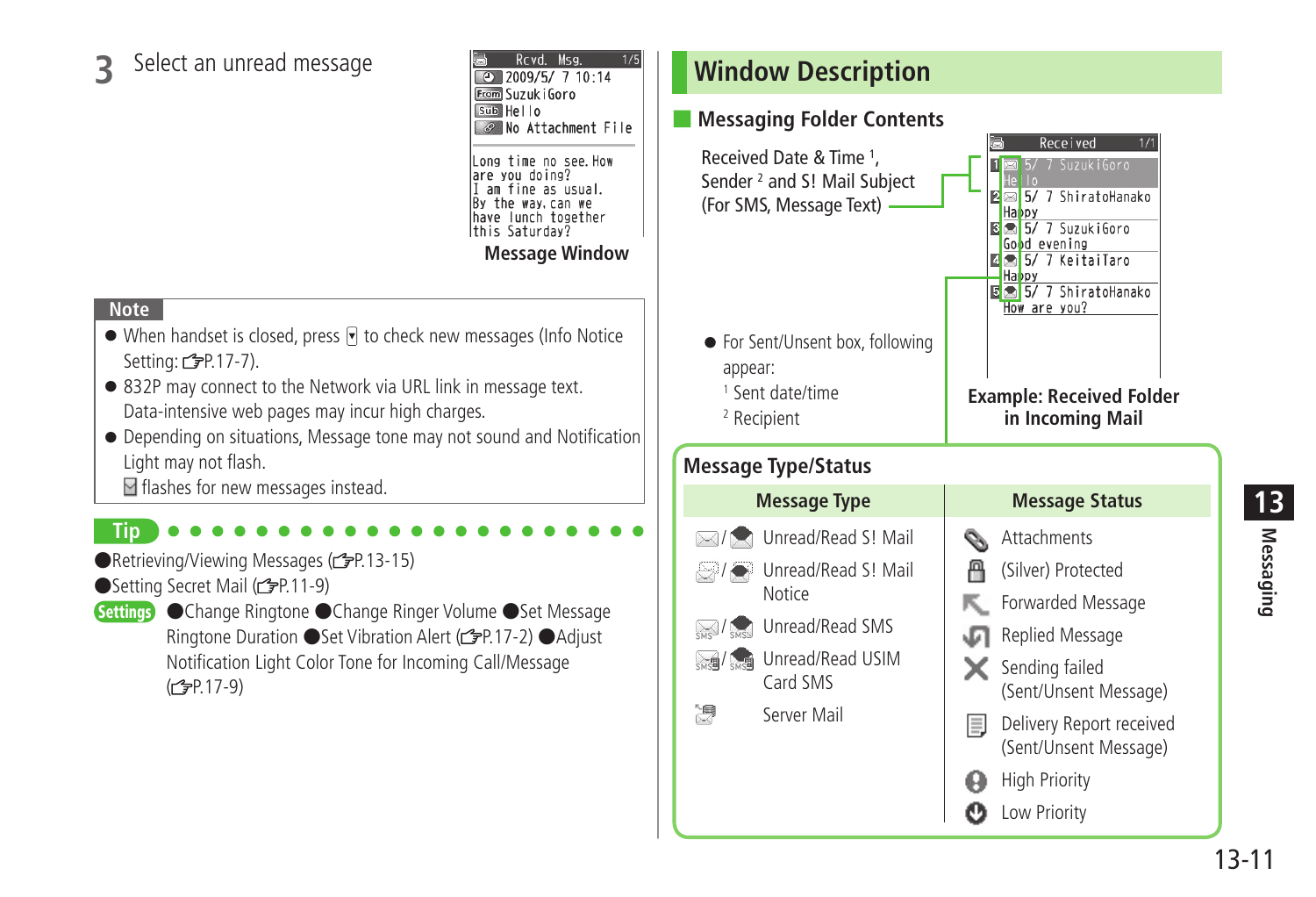# <span id="page-10-0"></span>**3** Select an unread message

Royd. Msg.  $\overline{9}$  2009/5/ 7 10:14 From Suzuk i Goro  $sub$  Hello No Attachment File Long time no see.How are you doing? I am fine as usual. By the way, can we have lunch together lthis Saturdav? **Message Window**

### **Note**

- $\bullet$  When handset is closed, press  $\triangledown$  to check new messages (Info Notice Setting:  $2P.17-7$ ).
- 832P may connect to the Network via URL link in message text. Data-intensive web pages may incur high charges.
- Depending on situations, Message tone may not sound and Notification Light may not flash.
	- $\blacksquare$  flashes for new messages instead.

### **Tip**

- ●Retrieving/Viewing Messages (仁子P.13-15)
- ●Setting Secret Mail (全P.11-9)
- Settings Change Ringtone Change Ringer Volume Set Message Ringtone Duration ● Set Vibration Alert (子P.17-2) ● Adjust Notification Light Color Tone for Incoming Call/Message  $(r^2 = P.17-9)$

# **Window Description**

### ■ **Messaging Folder Contents**

Received Received Date & Time <sup>1</sup>, 18 5/ 7 SuzukiGoro Sender <sup>2</sup> and S! Mail Subject **E**S 5/ 7 ShiratoHanako (For SMS, Message Text) **Happy**  $\frac{1}{8}$   $\frac{1}{2}$  5/ 7 Suzuki Goro Good evening 5/ 7 KeitaiTaro  $\Box$ Happy 5/ 7 ShiratoHanako How are you? ● For Sent/Unsent box, following appear: 1 Sent date/time **Example: Received Folder in Incoming Mail** 2 Recipient

### **Message Type/Status**

Unread/Read S! Mail  $\bowtie$ / Unread/Read S! Mail / **Notice** Unread/Read SMS  $\approx$ / $\sim$  $\sum_{\text{cusp}}$ **Unread/Read USIM** Card SMS 净 Server Mail

### **Message Type Message Status**

- **Attachments**
- (Silver) Protected А
- Forwarded Message
- Replied Message Œ
- $\mathsf{\times}$  Sending failed (Sent/Unsent Message)
- $\equiv$ Delivery Report received (Sent/Unsent Message)
	- **High Priority**
- Ω Low Priority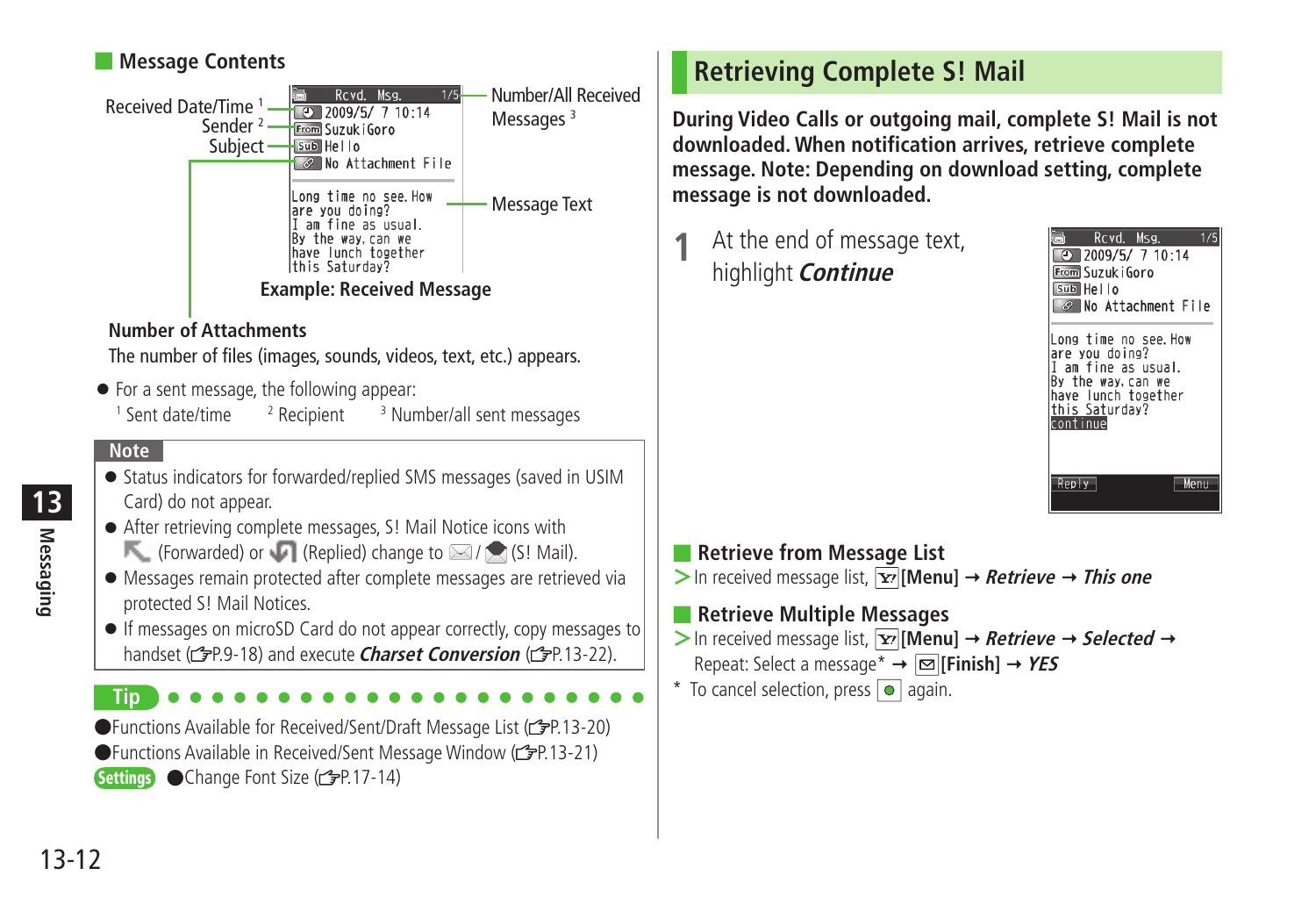### <span id="page-11-0"></span>■ **Message Contents**



### **Number of Attachments**

The number of files (images, sounds, videos, text, etc.) appears.

● For a sent message, the following appear:  $<sup>1</sup>$  Sent date/time  $<sup>2</sup>$ </sup></sup>  $<sup>2</sup>$  Recipient</sup> <sup>3</sup> Number/all sent messages

### **Note**

- Status indicators for forwarded/replied SMS messages (saved in USIM Card) do not appear.
- After retrieving complete messages, S! Mail Notice icons with **EXECUTE:** (Forwarded) or (Replied) change to  $\boxtimes$  / (S! Mail).
- Messages remain protected after complete messages are retrieved via protected S! Mail Notices.
- If messages on microSD Card do not appear correctly, copy messages to handset (**PP.9-18**) and execute **Charset Conversion** (PP.13-22).

**Tip**

●Functions Available for Received/Sent/Draft Message List ( $2P.13-20$ ) ●Functions Available in Received/Sent Message Window (子P.13-21) Settings ● Change Font Size ( PP.17-14)

# **Retrieving Complete S! Mail**

**During Video Calls or outgoing mail, complete S! Mail is not downloaded. When notification arrives, retrieve complete message. Note: Depending on download setting, complete message is not downloaded.**

**1** At the end of message text, highlight **Continue**



### ■ **Retrieve from Message List**

 $>$  In received message list,  $\overline{Y}$  [Menu]  $\rightarrow$  *Retrieve*  $\rightarrow$  *This one* 

### ■ **Retrieve Multiple Messages**

 $>$  In received message list, **[x]** [Menu]  $\rightarrow$  *Retrieve*  $\rightarrow$  *Selected*  $\rightarrow$ Repeat: Select a message\* **[Finish] YES**

 $*$  To cancel selection, press  $\bullet$  again.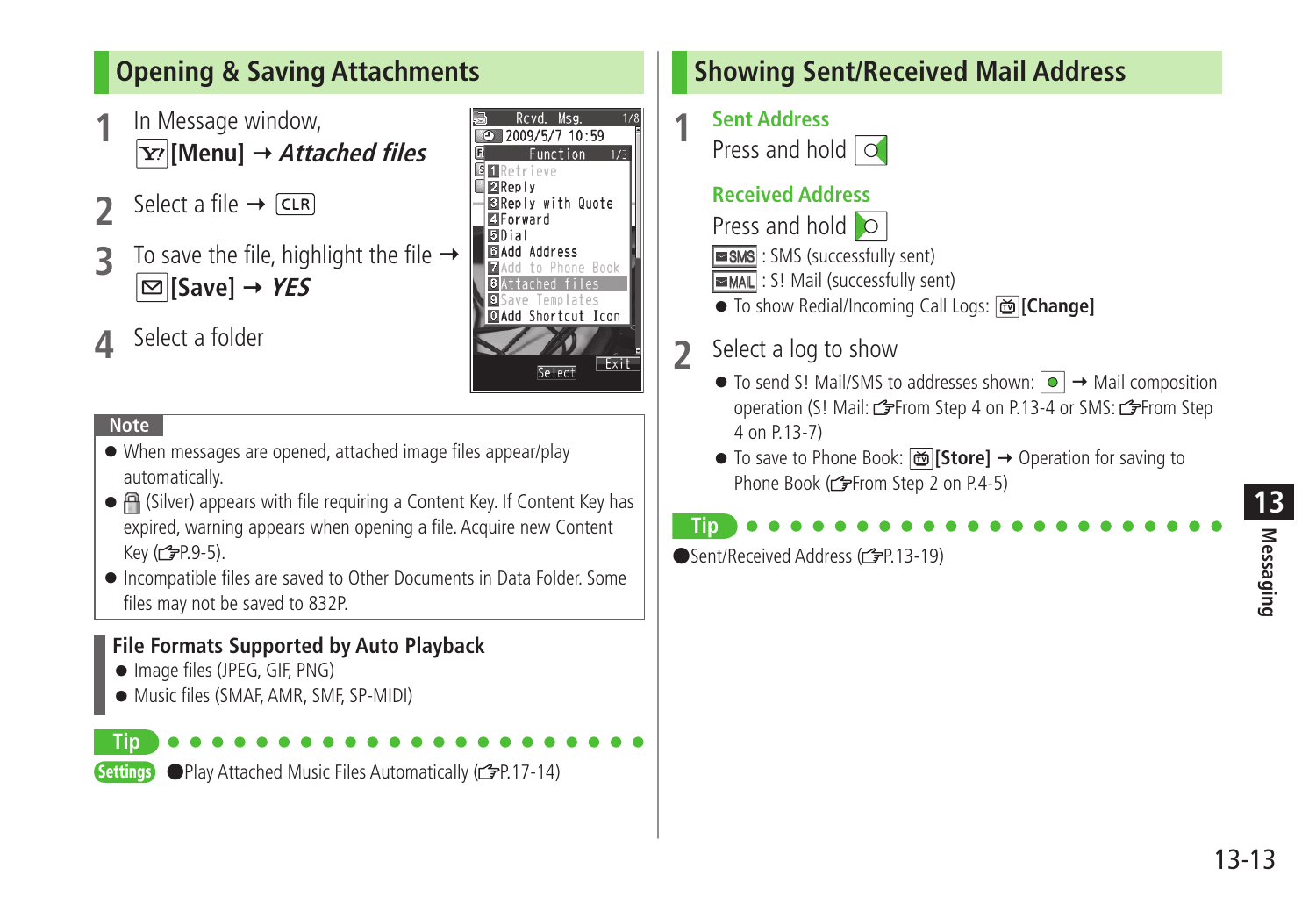# <span id="page-12-0"></span>**Opening & Saving Attachments**

- **1** In Message window, **[Menu] Attached files**
- Select a file  $\rightarrow$   $\overline{CLR}$
- **3** To save the file, highlight the file  $\Box$  [Save]  $\rightarrow$  *YES*

# **4** Select a folder



### **Note**

- When messages are opened, attached image files appear/play automatically.
- (Silver) appears with file requiring a Content Key. If Content Key has expired, warning appears when opening a file. Acquire new Content  $Key (2P.9-5).$
- Incompatible files are saved to Other Documents in Data Folder. Some files may not be saved to 832P.

### **File Formats Supported by Auto Playback**

- Image files (JPEG, GIF, PNG)
- Music files (SMAF, AMR, SMF, SP-MIDI)



Settings ● Play Attached Music Files Automatically (<a>
<sub>(2</sub>P.17-14)</a>

# **Showing Sent/Received Mail Address**

**1 Sent Address** Press and hold

### **Received Address**

Press and hold o

- : SMS (successfully sent)
- **EMAIL**: S! Mail (successfully sent)
- To show Redial/Incoming Call Logs: **[Change]**

# **2** Select a log to show

- $\bullet$  To send S! Mail/SMS to addresses shown:  $\boxed{\bullet}$   $\rightarrow$  Mail composition operation (S! Mail: FFrom Step 4 on P.13-4 or SMS: FFrom Step 4 on P.13-7)
- To save to Phone Book: **[Store]**  Operation for saving to Phone Book (r<sup>2</sup>From Step 2 on P.4-5)

# **Tip**

● Sent/Received Address (r字P.13-19)

13-13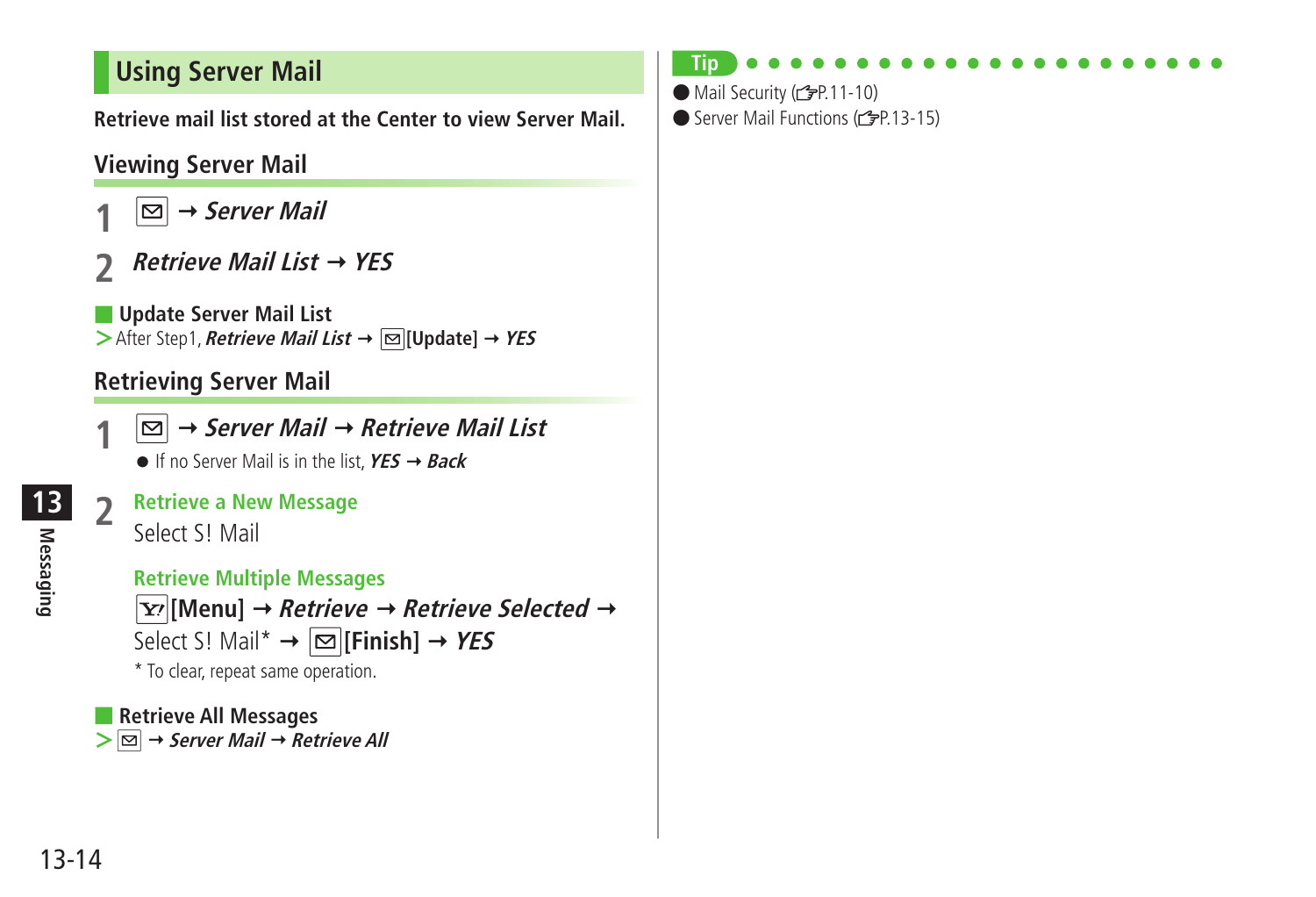# <span id="page-13-0"></span>**Using Server Mail**

**Retrieve mail list stored at the Center to view Server Mail.**

# **Viewing Server Mail**

- **1 Server Mail**
- **2 Retrieve Mail List YES**

■ **Update Server Mail List >**After Step1, **Retrieve Mail List** → **[Update]** → **YES** 

# **Retrieving Server Mail**

**1 Server Mail Retrieve Mail List**

 $\bullet$  If no Server Mail is in the list,  $YES \rightarrow Back$ 

# **2 Retrieve a New Message**



 **Retrieve Multiple Messages**

 $\boxed{\mathbf{Y}'}$  [Menu]  $\rightarrow$  *Retrieve*  $\rightarrow$  *Retrieve Selected*  $\rightarrow$ Select S! Mail<sup>\*</sup>  $\rightarrow \boxed{\infty}$  [Finish]  $\rightarrow$  *YES* \* To clear, repeat same operation.

■ **Retrieve All Messages >**  $\boxed{\triangleright}$  → Server Mail → Retrieve All

### **Tip**

● Mail Security (仁子P.11-10)

● Server Mail Functions (子P.13-15)

**Messaging**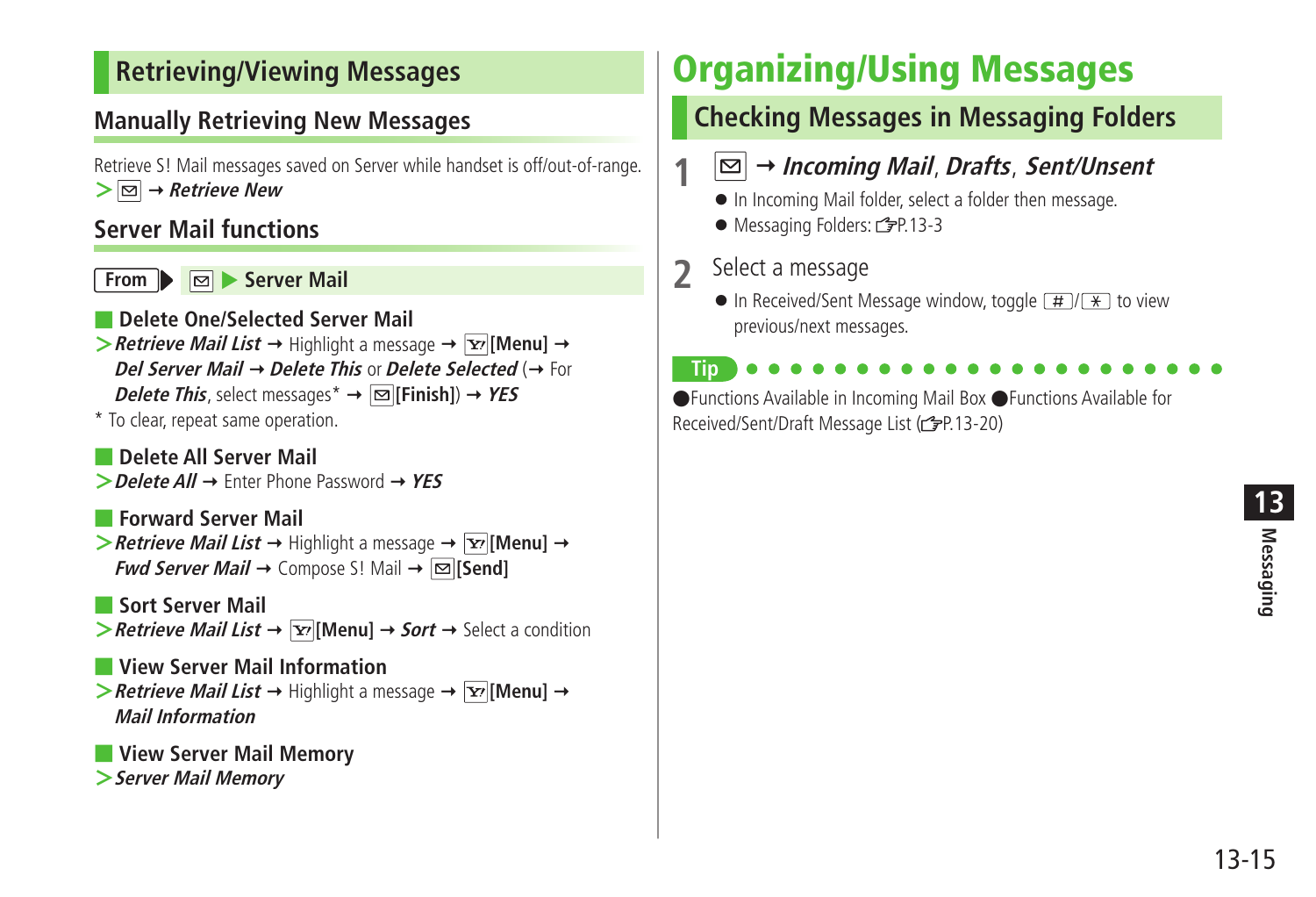# <span id="page-14-0"></span>**Retrieving/Viewing Messages**

# **Manually Retrieving New Messages**

Retrieve S! Mail messages saved on Server while handset is off/out-of-range.  $\geq$   $\boxed{\odot}$   $\rightarrow$  *Retrieve New* 

### **Server Mail functions**

**From**  $\triangleright$  **Server Mail** 

- **Delete One/Selected Server Mail**  $\triangleright$  **Retrieve Mail List**  $\rightarrow$  Highlight a message  $\rightarrow \triangleright$  [Menu]  $\rightarrow$ **Del Server Mail → Delete This or Delete Selected (→ For Delete This**, select messages<sup>\*</sup>  $\rightarrow \boxed{\infty}$  [Finish])  $\rightarrow$  YES
- \* To clear, repeat same operation.
- **Delete All Server Mail >Delete All** Enter Phone Password **YES**
- **Forward Server Mail**  $\triangleright$  **Retrieve Mail List**  $\rightarrow$  Highlight a message  $\rightarrow \triangleright$  [Menu]  $\rightarrow$ **Fwd Server Mail**  $\rightarrow$  Compose S! Mail  $\rightarrow \boxed{\infty}$  [Send]
- **Sort Server Mail**  $\triangleright$  **Retrieve Mail List**  $\rightarrow \boxed{\mathbf{x}}$  [Menu]  $\rightarrow$  **Sort**  $\rightarrow$  Select a condition
- **View Server Mail Information**  $\triangleright$  **Retrieve Mail List**  $\rightarrow$  Highlight a message  $\rightarrow \triangleright$  [Menu]  $\rightarrow$ **Mail Information**
- **View Server Mail Memory >Server Mail Memory**

# **Organizing/Using Messages**

# **Checking Messages in Messaging Folders**

- **1 Incoming Mail**, **Drafts**, **Sent/Unsent**
- In Incoming Mail folder, select a folder then message.
- Messaging Folders: <sub>2</sub>P.13-3
- **2** Select a message
	- $\bullet$  In Received/Sent Message window, toggle  $\boxed{H}/\boxed{\ast}$  to view previous/next messages.

**Tip** ●Functions Available in Incoming Mail Box ●Functions Available for Received/Sent/Draft Message List ( $\mathcal{P}$ P.13-20)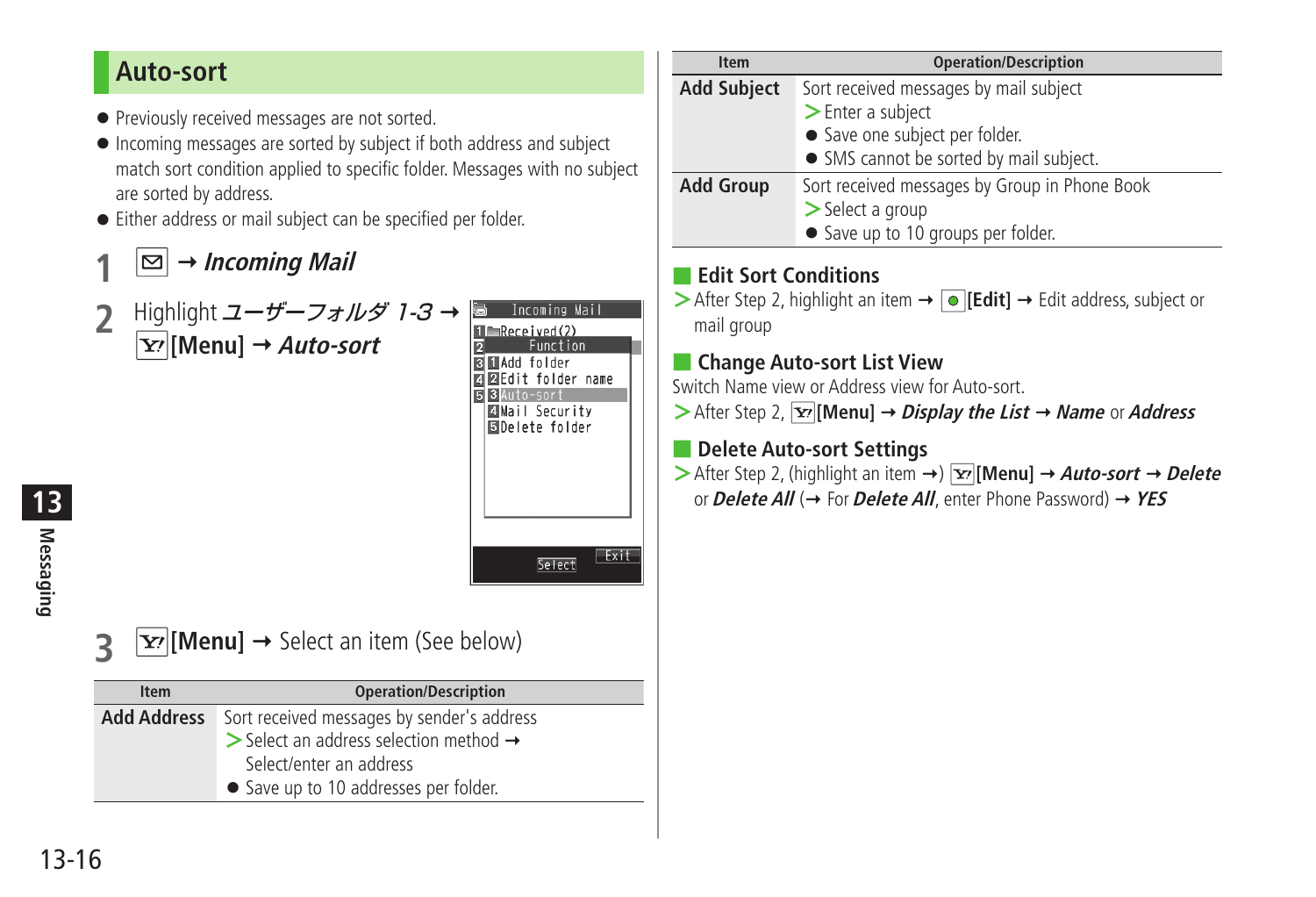# <span id="page-15-0"></span>**Auto-sort**

- Previously received messages are not sorted.
- Incoming messages are sorted by subject if both address and subject match sort condition applied to specific folder. Messages with no subject are sorted by address.
- Either address or mail subject can be specified per folder.
	- **1 Incoming Mail**
- **2** Highlight ユーザーフォルダ 1-3 **[Menu] Auto-sort**

|   | Incoming Mail            |  |
|---|--------------------------|--|
|   | lmReceived(2)            |  |
| p | Function                 |  |
|   | <b>MAdd</b> folder       |  |
|   | <b>⊠Edit folder name</b> |  |
| F | Auto-sort                |  |
|   | ⊠Mail Security           |  |
|   | 固Delete folder           |  |
|   |                          |  |
|   |                          |  |
|   |                          |  |
|   |                          |  |
|   |                          |  |
|   |                          |  |
|   |                          |  |
|   | Select                   |  |
|   |                          |  |

- **Messaging 13**
- $\overline{\mathbf{x}}$  [Menu]  $\rightarrow$  Select an item (See below)

| <b>Item</b> | <b>Operation/Description</b>                                      |
|-------------|-------------------------------------------------------------------|
|             | Add Address Sort received messages by sender's address            |
|             | $\triangleright$ Select an address selection method $\rightarrow$ |
|             | Select/enter an address                                           |
|             | • Save up to 10 addresses per folder.                             |

| <b>Item</b>        | <b>Operation/Description</b>                  |
|--------------------|-----------------------------------------------|
| <b>Add Subject</b> | Sort received messages by mail subject        |
|                    | $\blacktriangleright$ Enter a subject         |
|                    | • Save one subject per folder.                |
|                    | • SMS cannot be sorted by mail subject.       |
| <b>Add Group</b>   | Sort received messages by Group in Phone Book |
|                    | $\geq$ Select a group                         |
|                    | • Save up to 10 groups per folder.            |

### ■ **Edit Sort Conditions**

> After Step 2, highlight an item → **[e][Edit]** → Edit address, subject or mail group

### ■ **Change Auto-sort List View**

Switch Name view or Address view for Auto-sort.

 $\triangleright$  After Step 2,  $\boxed{\mathbf{Y}}$  [Menu]  $\rightarrow$  *Display the List*  $\rightarrow$  *Name* or *Address* 

### ■ **Delete Auto-sort Settings**

 $\triangleright$  After Step 2, (highlight an item  $\rightarrow$ )  $\boxed{\mathbf{x}}$  **[Menu]**  $\rightarrow$  *Auto-sort*  $\rightarrow$  *Delete* or **Delete All** (→ For **Delete All**, enter Phone Password) → YES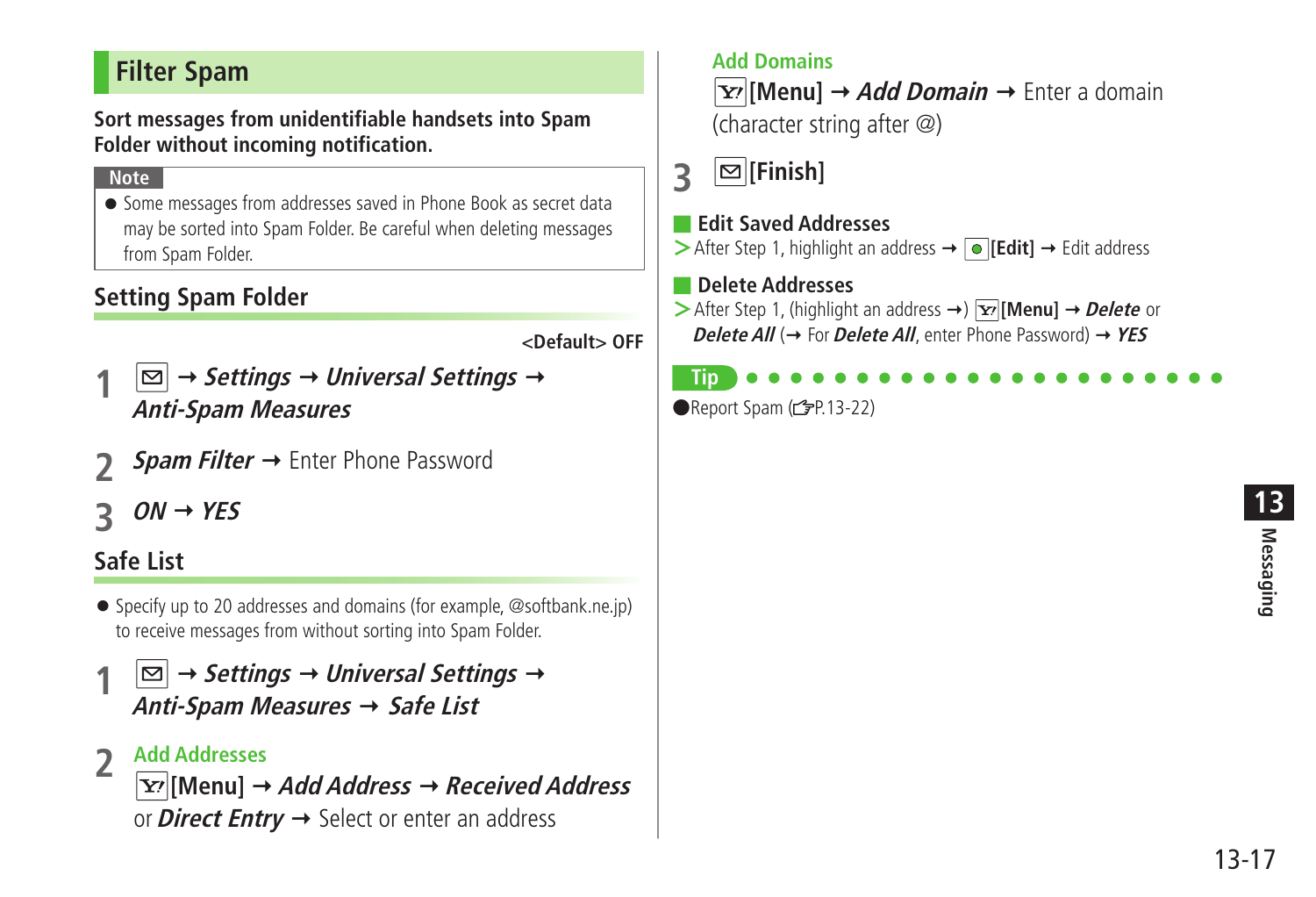# <span id="page-16-0"></span>**Filter Spam**

**Sort messages from unidentifiable handsets into Spam Folder without incoming notification.**

### **Note**

● Some messages from addresses saved in Phone Book as secret data may be sorted into Spam Folder. Be careful when deleting messages from Spam Folder.

## **Setting Spam Folder**

**<Default> OFF**

- $|\mathfrak{\triangle}|\rightarrow$  Settings  $\rightarrow$  Universal Settings  $\rightarrow$ **Anti-Spam Measures**
- *Spam Filter* → Enter Phone Password
- **3 ON YES**

# **Safe List**

- Specify up to 20 addresses and domains (for example, @softbank.ne.jp) to receive messages from without sorting into Spam Folder.
- $|\mathfrak{\triangle}|\rightarrow$  Settings  $\rightarrow$  Universal Settings  $\rightarrow$ **Anti-Spam Measures Safe List**

### **2 Add Addresses**

**[Menu] Add Address Received Address** or **Direct Entry**  $\rightarrow$  Select or enter an address

### **Add Domains**

**[Y'[Menu]** → Add Domain → Enter a domain (character string after @)

# **3 [Finish]**

### ■ **Edit Saved Addresses**

> After Step 1, highlight an address → **I**IEdit | → Edit address

### ■ **Delete Addresses**

**>**After Step 1, (highlight an address →)  $\overline{Y}$ [Menu] → Delete or **Delete All** ( $\rightarrow$  For **Delete All**, enter Phone Password)  $\rightarrow$  YES

### **Tip**

 $\bigcirc$ Report Spam ( $\bigcirc$ P.13-22)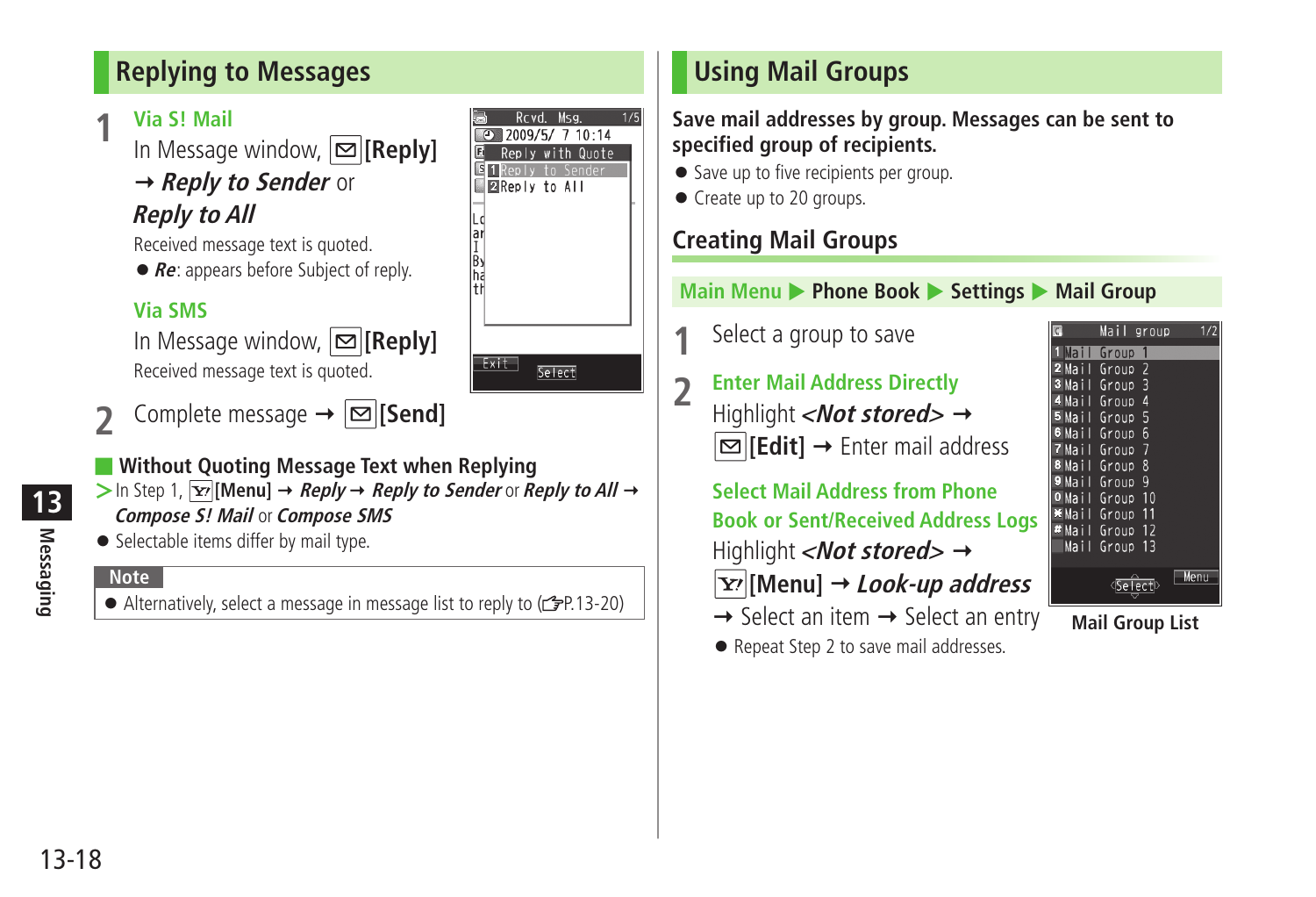# <span id="page-17-0"></span>**Replying to Messages**

**1 Via S! Mail**<br>
In Message window, **⊠[Reply]** 

# **→ Reply to Sender** or

# **Reply to All**

Received message text is quoted.

● **Re**: appears before Subject of reply.

### **Via SMS**

In Message window, **[Reply]** Received message text is quoted.

- **2** Complete message  $\rightarrow \boxed{2}$  **[Send]**
- **Without Quoting Message Text when Replying**

 $>$  In Step 1,  $\overline{X}$  [Menu]  $\rightarrow$  *Reply*  $\rightarrow$  *Reply to Sender* or *Reply to All*  $\rightarrow$ **Compose S! Mail** or **Compose SMS**

● Selectable items differ by mail type.

### **Note**

 $\bullet$  Alternatively, select a message in message list to reply to  $(\mathcal{C} \rightarrow P.13-20)$ 



# **Using Mail Groups**

**Save mail addresses by group. Messages can be sent to specified group of recipients.**

- Save up to five recipients per group.
- Create up to 20 groups.

# **Creating Mail Groups**

### **Main Menu ▶ Phone Book ▶ Settings ▶ Mail Group**

- **1** Select a group to save
	- **2 Enter Mail Address Directly** Highlight **<Not stored>**  $\rightarrow$ **<b>** $\Xi$  [Edit] → Enter mail address

**Select Mail Address from Phone Book or Sent/Received Address Logs** Highlight **<Not stored>**  $\rightarrow$ **[Menu] Look-up address**

- $\rightarrow$  Select an item  $\rightarrow$  Select an entry
- Repeat Step 2 to save mail addresses.



### **Mail Group List**

13-18

**Messaging**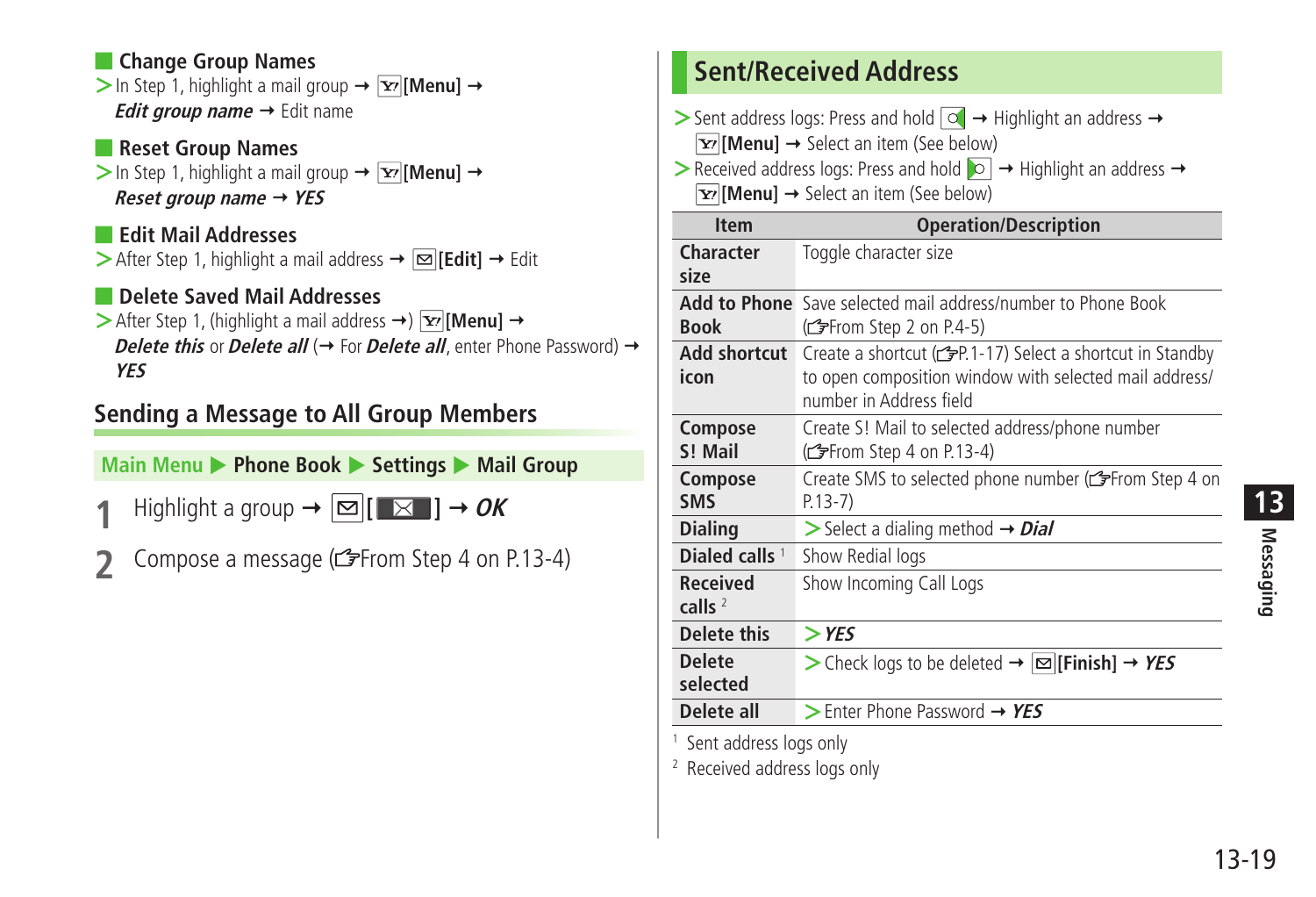### <span id="page-18-0"></span>■ **Change Group Names**

 $>$  In Step 1, highlight a mail group  $\rightarrow \boxed{\mathbf{x}}$  [Menu]  $\rightarrow$ *Edit group name* → Edit name

### ■ **Reset Group Names**

 $>$  In Step 1, highlight a mail group  $\rightarrow \boxed{\mathbf{x}}$  [Menu]  $\rightarrow$ **Reset group name YES**

■ **Edit Mail Addresses**  $\triangleright$  After Step 1, highlight a mail address  $\rightarrow \triangleright$  **[Edit]**  $\rightarrow$  Edit

### ■ **Delete Saved Mail Addresses**

 $\triangleright$  After Step 1, (highlight a mail address  $\rightarrow$ ) **[Menul**  $\rightarrow$ **Delete this** or **Delete all** ( $\rightarrow$  For **Delete all**, enter Phone Password)  $\rightarrow$ **YES**

## **Sending a Message to All Group Members**

**Main Menu ▶ Phone Book ▶ Settings ▶ Mail Group** 

**1** Highlight a group  $\rightarrow \boxed{\infty}$   $[\Box \times \Box] \rightarrow OK$ 

**2** Compose a message ( $\mathbb{Z}$ From Step 4 on P.13-4)

# **Sent/Received Address**

 $>$  Sent address logs: Press and hold  $\boxed{\circledcirc}$   $\rightarrow$  Highlight an address  $\rightarrow$ **[Y]** [Menu] → Select an item (See below)  $\triangleright$  Received address logs: Press and hold  $\triangleright$   $\rightarrow$  Highlight an address  $\rightarrow$ **[Y7]** [Menu] → Select an item (See below)

| <b>Item</b>                         | <b>Operation/Description</b>                                                      |
|-------------------------------------|-----------------------------------------------------------------------------------|
| Character                           | Toggle character size                                                             |
| size                                |                                                                                   |
| <b>Add to Phone</b>                 | Save selected mail address/number to Phone Book                                   |
| <b>Book</b>                         | (ferom Step 2 on P.4-5)                                                           |
| <b>Add shortcut</b>                 | Create a shortcut (read 1-17) Select a shortcut in Standby                        |
| icon                                | to open composition window with selected mail address/<br>number in Address field |
| Compose                             | Create S! Mail to selected address/phone number                                   |
| S! Mail                             | (from Step 4 on P.13-4)                                                           |
| Compose                             | Create SMS to selected phone number (CFFrom Step 4 on                             |
| <b>SMS</b>                          | $P.13-7)$                                                                         |
| <b>Dialing</b>                      | $\triangleright$ Select a dialing method $\rightarrow$ <i>Dial</i>                |
| Dialed calls <sup>1</sup>           | Show Redial logs                                                                  |
| <b>Received</b>                     | Show Incoming Call Logs                                                           |
| calls $2$                           |                                                                                   |
| <b>Delete this</b>                  | $>$ YES                                                                           |
| <b>Delete</b>                       | > Check logs to be deleted $\rightarrow \infty$ [Finish] $\rightarrow$ YES        |
| selected                            |                                                                                   |
| Delete all                          | $\triangleright$ Enter Phone Password $\rightarrow$ YES                           |
| <sup>1</sup> Sant address logs only |                                                                                   |

Sent address logs only

2 Received address logs only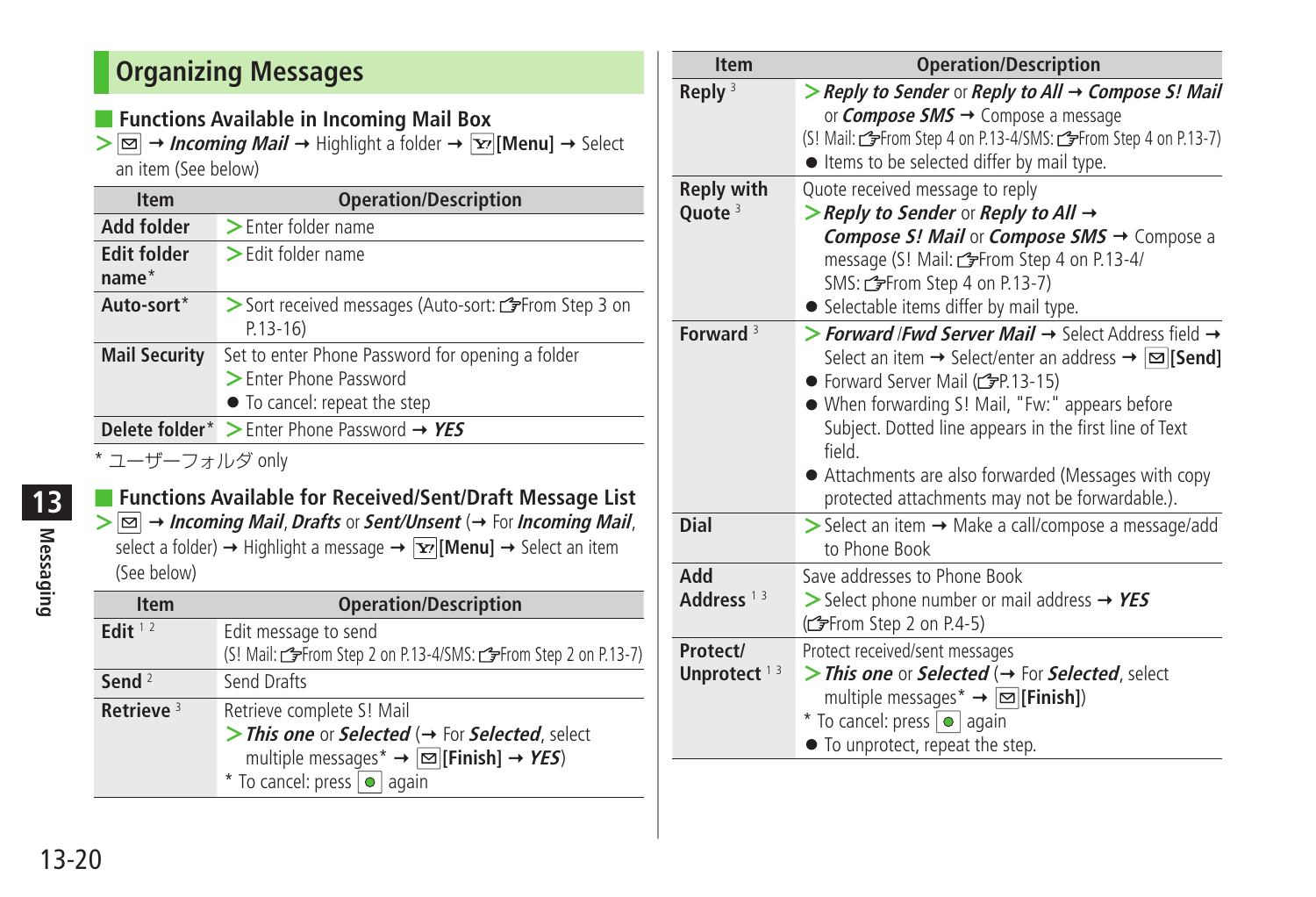# <span id="page-19-0"></span>**Organizing Messages**

■ **Functions Available in Incoming Mail Box** 

 $\geq$   $\boxed{\infty}$   $\rightarrow$  *Incoming Mail*  $\rightarrow$  Highlight a folder  $\rightarrow$   $\boxed{\infty}$  [Menu]  $\rightarrow$  Select an item (See below)

| <b>Item</b>                   | <b>Operation/Description</b>                                                                               |
|-------------------------------|------------------------------------------------------------------------------------------------------------|
| <b>Add folder</b>             | > Enter folder name                                                                                        |
| <b>Edit folder</b><br>$name*$ | $\geq$ Edit folder name                                                                                    |
| Auto-sort*                    | > Sort received messages (Auto-sort: refrom Step 3 on<br>$P.13-16$                                         |
| <b>Mail Security</b>          | Set to enter Phone Password for opening a folder<br>> Enter Phone Password<br>• To cancel: repeat the step |
|                               | <b>Delete folder</b> <sup>*</sup> $\geq$ Enter Phone Password $\rightarrow$ YES                            |
| * ㄱ  一ヸ  ㄱ ㅗ Ⅱ . ゲ ⌒ n l ៶៸   |                                                                                                            |

ユーサーフォルタ only

# ■ **Functions Available for Received/Sent/Draft Message List**

 $\geq \boxed{\infty}$  + **Incoming Mail**, **Drafts** or **Sent/Unsent** ( $\rightarrow$  For **Incoming Mail**, select a folder)  $\rightarrow$  Highlight a message  $\rightarrow \boxed{\mathbf{x}}$  [Menu]  $\rightarrow$  Select an item (See below)

| <b>Item</b>  | <b>Operation/Description</b>                                                                                                                                                                                                         |
|--------------|--------------------------------------------------------------------------------------------------------------------------------------------------------------------------------------------------------------------------------------|
| Edit $12$    | Edit message to send<br>(S! Mail: <a>From Step 2 on P.13-4/SMS: <a>From Step 2 on P.13-7)</a></a>                                                                                                                                    |
| Send $2$     | Send Drafts                                                                                                                                                                                                                          |
| Retrieve $3$ | Retrieve complete S! Mail<br>> This one or Selected ( $\rightarrow$ For Selected, select<br>multiple messages* $\rightarrow \boxed{\text{ } \text{\small \Xi \small \Xi}}$ [Finish] $\rightarrow$ YES)<br>* To cancel: press o again |

| <b>Item</b>                             | <b>Operation/Description</b>                                                                                                                                                                                                                                                                                                                                                                                                                         |  |  |
|-----------------------------------------|------------------------------------------------------------------------------------------------------------------------------------------------------------------------------------------------------------------------------------------------------------------------------------------------------------------------------------------------------------------------------------------------------------------------------------------------------|--|--|
| Reply $3$                               | > Reply to Sender or Reply to All $\rightarrow$ Compose S! Mail<br>or <i>Compose SMS</i> → Compose a message                                                                                                                                                                                                                                                                                                                                         |  |  |
|                                         | (S! Mail: <a>From Step 4 on P.13-4/SMS: <a>From Step 4 on P.13-7)</a><br/>• Items to be selected differ by mail type.</a>                                                                                                                                                                                                                                                                                                                            |  |  |
| <b>Reply with</b><br>Quote <sup>3</sup> | Quote received message to reply<br>> Reply to Sender or Reply to All $\rightarrow$<br>Compose S! Mail or Compose SMS → Compose a<br>message (S! Mail: <a>From Step 4 on P.13-4/<br/>SMS: CFFrom Step 4 on P.13-7)<br/>• Selectable items differ by mail type.</a>                                                                                                                                                                                    |  |  |
| Forward $3$                             | > Forward /Fwd Server Mail $\rightarrow$ Select Address field $\rightarrow$<br>Select an item $\rightarrow$ Select/enter an address $\rightarrow \boxed{\infty}$ [Send]<br>● Forward Server Mail (£PP.13-15)<br>. When forwarding S! Mail, "Fw:" appears before<br>Subject. Dotted line appears in the first line of Text<br><b>field</b><br>• Attachments are also forwarded (Messages with copy<br>protected attachments may not be forwardable.). |  |  |
| Dial                                    | > Select an item → Make a call/compose a message/add<br>to Phone Book                                                                                                                                                                                                                                                                                                                                                                                |  |  |
| hhA<br>Address $13$                     | Save addresses to Phone Book<br>Select phone number or mail address $\rightarrow$ YES<br>(ferom Step 2 on P.4-5)                                                                                                                                                                                                                                                                                                                                     |  |  |
| Protect/<br>Unprotect <sup>13</sup>     | Protect received/sent messages<br>> This one or Selected ( $\rightarrow$ For Selected, select<br>multiple messages $* \rightarrow \infty$ [Finish])<br>* To cancel: press o again<br>• To unprotect, repeat the step.                                                                                                                                                                                                                                |  |  |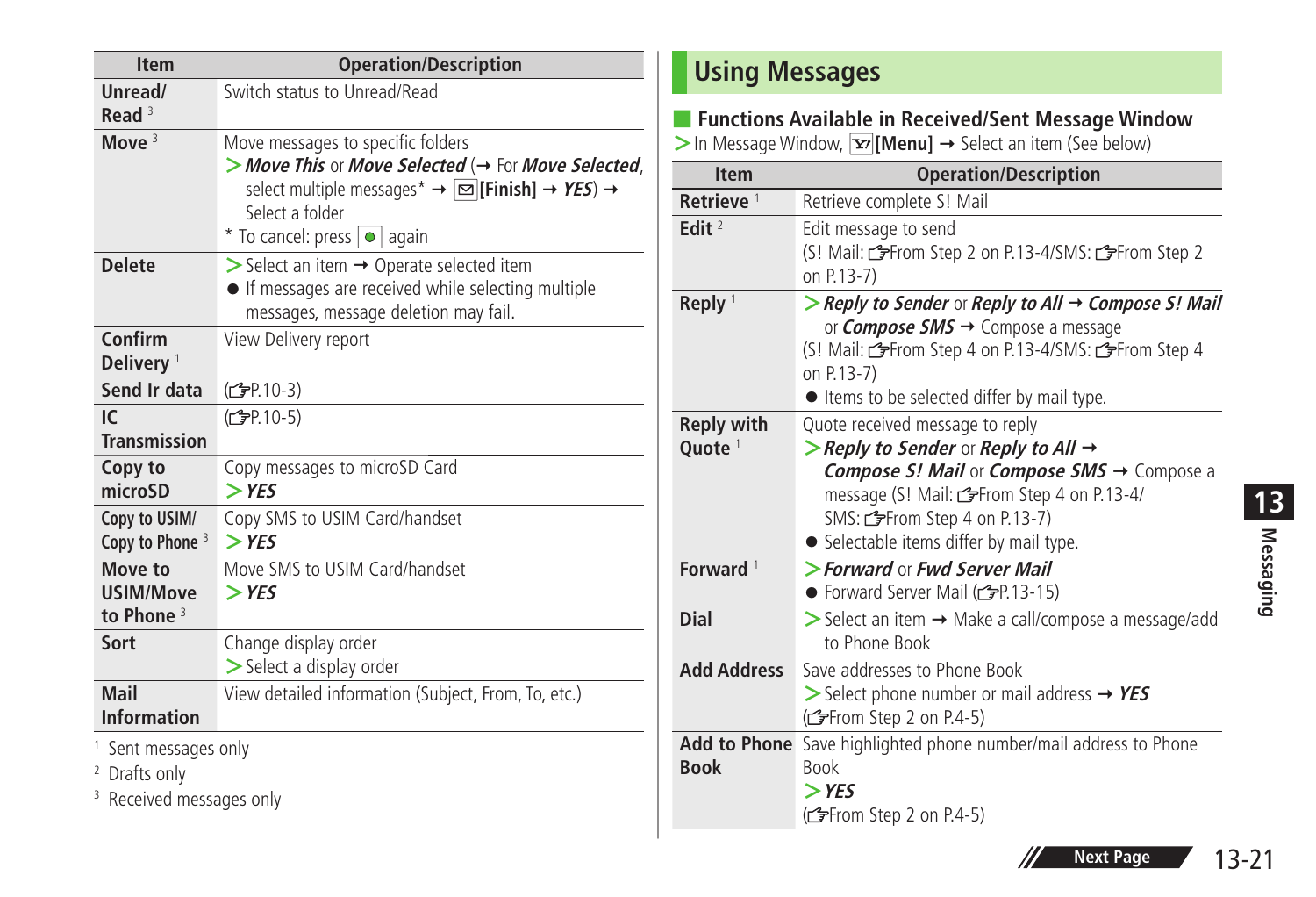<span id="page-20-0"></span>

| <b>Item</b>                                                                                        | <b>Operation/Description</b>                                                                                                                                                                                                                        |
|----------------------------------------------------------------------------------------------------|-----------------------------------------------------------------------------------------------------------------------------------------------------------------------------------------------------------------------------------------------------|
| Unread/<br>Read $3$                                                                                | Switch status to Unread/Read                                                                                                                                                                                                                        |
| Move $3$                                                                                           | Move messages to specific folders<br>> Move This or Move Selected ( $\rightarrow$ For Move Selected,<br>select multiple messages <sup>*</sup> → $\boxed{\infty}$ [Finish] → YES) →<br>Select a folder<br>* To cancel: press $\boxed{\bullet}$ again |
| <b>Delete</b>                                                                                      | $\triangleright$ Select an item $\rightarrow$ Operate selected item<br>• If messages are received while selecting multiple<br>messages, message deletion may fail.                                                                                  |
| Confirm<br>Delivery <sup>1</sup>                                                                   | View Delivery report                                                                                                                                                                                                                                |
| Send Ir data                                                                                       | (C <sub>FP</sub> 10-3)                                                                                                                                                                                                                              |
| IC.<br><b>Transmission</b>                                                                         | (C <sub>FP.10-5</sub> )                                                                                                                                                                                                                             |
| Copy to<br>microSD                                                                                 | Copy messages to microSD Card<br>$>$ YES                                                                                                                                                                                                            |
| Copy to USIM/<br>Copy to Phone <sup>3</sup>                                                        | Copy SMS to USIM Card/handset<br>$>$ YES                                                                                                                                                                                                            |
| Move to<br><b>USIM/Move</b><br>to Phone $3$                                                        | Move SMS to USIM Card/handset<br>$>$ YES                                                                                                                                                                                                            |
| Sort                                                                                               | Change display order<br>> Select a display order                                                                                                                                                                                                    |
| Mail<br><b>Information</b>                                                                         | View detailed information (Subject, From, To, etc.)                                                                                                                                                                                                 |
| <sup>1</sup> Sent messages only<br><sup>2</sup> Drafts only<br><sup>3</sup> Received messages only |                                                                                                                                                                                                                                                     |

# **Using Messages**

### ■ **Functions Available in Received/Sent Message Window**

**>** In Message Window, [**x**<sup>2</sup>] [Menu] → Select an item (See below)

| <b>Item</b>                             | <b>Operation/Description</b>                                                                                                                                                                                                                             |
|-----------------------------------------|----------------------------------------------------------------------------------------------------------------------------------------------------------------------------------------------------------------------------------------------------------|
| Retrieve <sup>1</sup>                   | Retrieve complete S! Mail                                                                                                                                                                                                                                |
| Edit $2$                                | Edit message to send<br>(S! Mail: refrom Step 2 on P.13-4/SMS: refrom Step 2<br>on P.13-7)                                                                                                                                                               |
| Reply $1$                               | > Reply to Sender or Reply to All $\rightarrow$ Compose S! Mail<br>or <i>Compose SMS</i> → Compose a message<br>(S! Mail: refrom Step 4 on P.13-4/SMS: refrom Step 4<br>on P.13-7)<br>• Items to be selected differ by mail type.                        |
| <b>Reply with</b><br>Ouote <sup>1</sup> | Quote received message to reply<br>> Reply to Sender or Reply to All $\rightarrow$<br>Compose S! Mail or Compose SMS → Compose a<br>message (S! Mail: from Step 4 on P.13-4/<br>SMS: refrom Step 4 on P.13-7)<br>• Selectable items differ by mail type. |
| Forward $1$                             | > Forward or Fwd Server Mail<br>● Forward Server Mail (CPP.13-15)                                                                                                                                                                                        |
| Dial                                    | > Select an item > Make a call/compose a message/add<br>to Phone Book                                                                                                                                                                                    |
| <b>Add Address</b>                      | Save addresses to Phone Book<br>$\triangleright$ Select phone number or mail address $\rightarrow$ YES<br>(ferom Step 2 on P.4-5)                                                                                                                        |
| <b>Book</b>                             | Add to Phone Save highlighted phone number/mail address to Phone<br><b>Book</b><br>$>$ YES<br>(From Step 2 on P.4-5)                                                                                                                                     |



 $\mathscr{H}$